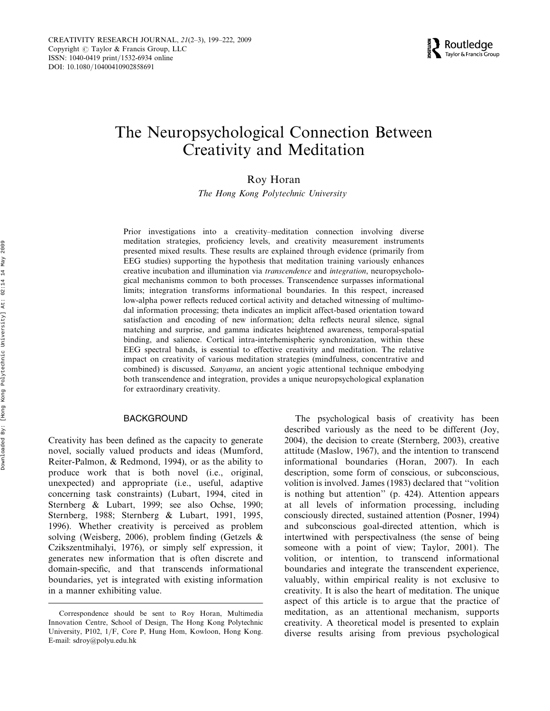# The Neuropsychological Connection Between Creativity and Meditation

## Roy Horan

The Hong Kong Polytechnic University

Prior investigations into a creativity–meditation connection involving diverse meditation strategies, proficiency levels, and creativity measurement instruments presented mixed results. These results are explained through evidence (primarily from EEG studies) supporting the hypothesis that meditation training variously enhances creative incubation and illumination via transcendence and integration, neuropsychological mechanisms common to both processes. Transcendence surpasses informational limits; integration transforms informational boundaries. In this respect, increased low-alpha power reflects reduced cortical activity and detached witnessing of multimodal information processing; theta indicates an implicit affect-based orientation toward satisfaction and encoding of new information; delta reflects neural silence, signal matching and surprise, and gamma indicates heightened awareness, temporal-spatial binding, and salience. Cortical intra-interhemispheric synchronization, within these EEG spectral bands, is essential to effective creativity and meditation. The relative impact on creativity of various meditation strategies (mindfulness, concentrative and combined) is discussed. Sanyama, an ancient yogic attentional technique embodying both transcendence and integration, provides a unique neuropsychological explanation for extraordinary creativity.

#### BACKGROUND

Creativity has been defined as the capacity to generate novel, socially valued products and ideas (Mumford, Reiter-Palmon, & Redmond, 1994), or as the ability to produce work that is both novel (i.e., original, unexpected) and appropriate (i.e., useful, adaptive concerning task constraints) (Lubart, 1994, cited in Sternberg & Lubart, 1999; see also Ochse, 1990; Sternberg, 1988; Sternberg & Lubart, 1991, 1995, 1996). Whether creativity is perceived as problem solving (Weisberg, 2006), problem finding (Getzels & Czikszentmihalyi, 1976), or simply self expression, it generates new information that is often discrete and domain-specific, and that transcends informational boundaries, yet is integrated with existing information in a manner exhibiting value.

The psychological basis of creativity has been described variously as the need to be different (Joy, 2004), the decision to create (Sternberg, 2003), creative attitude (Maslow, 1967), and the intention to transcend informational boundaries (Horan, 2007). In each description, some form of conscious, or subconscious, volition is involved. James (1983) declared that ''volition is nothing but attention'' (p. 424). Attention appears at all levels of information processing, including consciously directed, sustained attention (Posner, 1994) and subconscious goal-directed attention, which is intertwined with perspectivalness (the sense of being someone with a point of view; Taylor, 2001). The volition, or intention, to transcend informational boundaries and integrate the transcendent experience, valuably, within empirical reality is not exclusive to creativity. It is also the heart of meditation. The unique aspect of this article is to argue that the practice of meditation, as an attentional mechanism, supports creativity. A theoretical model is presented to explain diverse results arising from previous psychological

Correspondence should be sent to Roy Horan, Multimedia Innovation Centre, School of Design, The Hong Kong Polytechnic University, P102, 1/F, Core P, Hung Hom, Kowloon, Hong Kong. E-mail: sdroy@polyu.edu.hk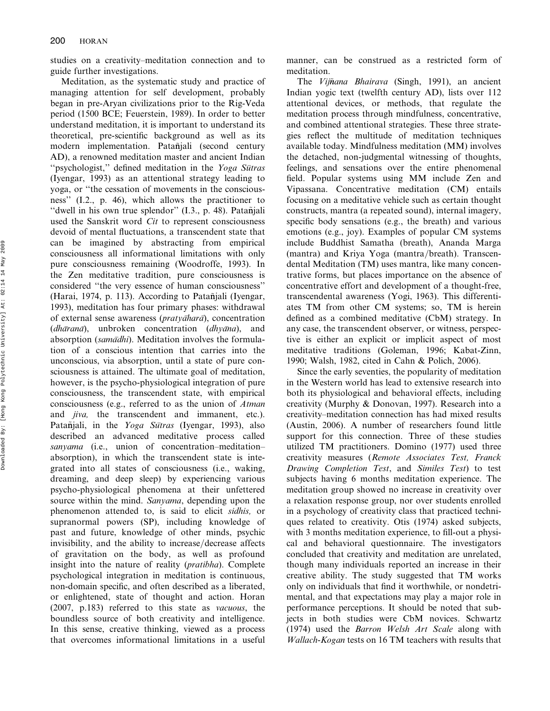studies on a creativity–meditation connection and to guide further investigations.

Meditation, as the systematic study and practice of managing attention for self development, probably began in pre-Aryan civilizations prior to the Rig-Veda period (1500 BCE; Feuerstein, 1989). In order to better understand meditation, it is important to understand its theoretical, pre-scientific background as well as its modern implementation. Patañjali (second century AD), a renowned meditation master and ancient Indian "psychologist," defined meditation in the Yoga Sutras (Iyengar, 1993) as an attentional strategy leading to yoga, or ''the cessation of movements in the consciousness'' (I.2., p. 46), which allows the practitioner to "dwell in his own true splendor"  $(I.3., p. 48)$ . Patañjali used the Sanskrit word Cit to represent consciousness devoid of mental fluctuations, a transcendent state that can be imagined by abstracting from empirical consciousness all informational limitations with only pure consciousness remaining (Woodroffe, 1993). In the Zen meditative tradition, pure consciousness is considered ''the very essence of human consciousness'' (Harai, 1974, p. 113). According to Patañjali (Iyengar, 1993), meditation has four primary phases: withdrawal of external sense awareness ( $praty\bar{a}h\bar{a}\bar{a}$ ), concentration  $(dh\bar{a}ran\bar{a})$ , unbroken concentration  $(dhy\bar{a}na)$ , and absorption (samādhi). Meditation involves the formulation of a conscious intention that carries into the unconscious, via absorption, until a state of pure consciousness is attained. The ultimate goal of meditation, however, is the psycho-physiological integration of pure consciousness, the transcendent state, with empirical consciousness (e.g., referred to as the union of Atman and jiva, the transcendent and immanent, etc.). Patañjali, in the *Yoga Sutras* (Iyengar, 1993), also described an advanced meditative process called sanyama (i.e., union of concentration–meditation– absorption), in which the transcendent state is integrated into all states of consciousness (i.e., waking, dreaming, and deep sleep) by experiencing various psycho-physiological phenomena at their unfettered source within the mind. Sanyama, depending upon the phenomenon attended to, is said to elicit sidhis, or supranormal powers (SP), including knowledge of past and future, knowledge of other minds, psychic invisibility, and the ability to increase/decrease affects of gravitation on the body, as well as profound insight into the nature of reality (pratibha). Complete psychological integration in meditation is continuous, non-domain specific, and often described as a liberated, or enlightened, state of thought and action. Horan (2007, p.183) referred to this state as vacuous, the boundless source of both creativity and intelligence. In this sense, creative thinking, viewed as a process that overcomes informational limitations in a useful

manner, can be construed as a restricted form of meditation.

The Vijñana Bhairava (Singh, 1991), an ancient Indian yogic text (twelfth century AD), lists over 112 attentional devices, or methods, that regulate the meditation process through mindfulness, concentrative, and combined attentional strategies. These three strategies reflect the multitude of meditation techniques available today. Mindfulness meditation (MM) involves the detached, non-judgmental witnessing of thoughts, feelings, and sensations over the entire phenomenal field. Popular systems using MM include Zen and Vipassana. Concentrative meditation (CM) entails focusing on a meditative vehicle such as certain thought constructs, mantra (a repeated sound), internal imagery, specific body sensations (e.g., the breath) and various emotions (e.g., joy). Examples of popular CM systems include Buddhist Samatha (breath), Ananda Marga (mantra) and Kriya Yoga (mantra/breath). Transcendental Meditation (TM) uses mantra, like many concentrative forms, but places importance on the absence of concentrative effort and development of a thought-free, transcendental awareness (Yogi, 1963). This differentiates TM from other CM systems; so, TM is herein defined as a combined meditative (CbM) strategy. In any case, the transcendent observer, or witness, perspective is either an explicit or implicit aspect of most meditative traditions (Goleman, 1996; Kabat-Zinn, 1990; Walsh, 1982, cited in Cahn & Polich, 2006).

Since the early seventies, the popularity of meditation in the Western world has lead to extensive research into both its physiological and behavioral effects, including creativity (Murphy & Donovan, 1997). Research into a creativity–meditation connection has had mixed results (Austin, 2006). A number of researchers found little support for this connection. Three of these studies utilized TM practitioners. Domino (1977) used three creativity measures (Remote Associates Test, Franck Drawing Completion Test, and Similes Test) to test subjects having 6 months meditation experience. The meditation group showed no increase in creativity over a relaxation response group, nor over students enrolled in a psychology of creativity class that practiced techniques related to creativity. Otis (1974) asked subjects, with 3 months meditation experience, to fill-out a physical and behavioral questionnaire. The investigators concluded that creativity and meditation are unrelated, though many individuals reported an increase in their creative ability. The study suggested that TM works only on individuals that find it worthwhile, or nondetrimental, and that expectations may play a major role in performance perceptions. It should be noted that subjects in both studies were CbM novices. Schwartz (1974) used the Barron Welsh Art Scale along with Wallach-Kogan tests on 16 TM teachers with results that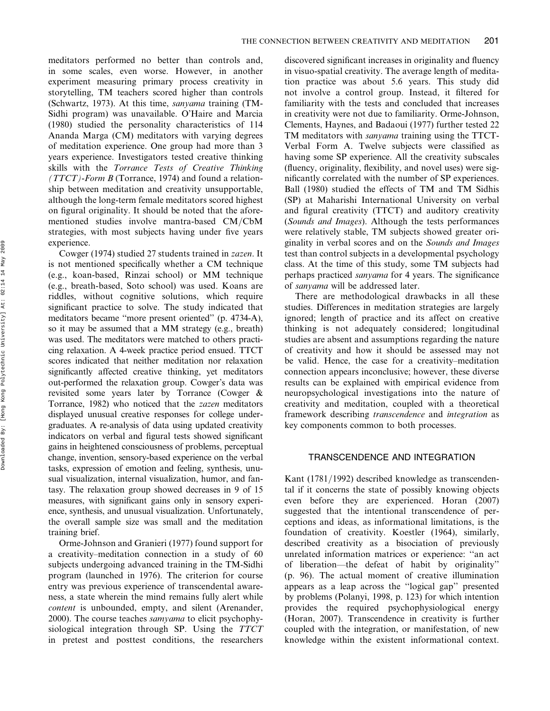meditators performed no better than controls and, in some scales, even worse. However, in another experiment measuring primary process creativity in storytelling, TM teachers scored higher than controls (Schwartz, 1973). At this time, sanyama training (TM-Sidhi program) was unavailable. O'Haire and Marcia (1980) studied the personality characteristics of 114 Ananda Marga (CM) meditators with varying degrees of meditation experience. One group had more than 3 years experience. Investigators tested creative thinking skills with the Torrance Tests of Creative Thinking ( $TTCT$ )-Form B (Torrance, 1974) and found a relationship between meditation and creativity unsupportable, although the long-term female meditators scored highest on figural originality. It should be noted that the aforementioned studies involve mantra-based CM/CbM strategies, with most subjects having under five years experience.

Cowger (1974) studied 27 students trained in zazen. It is not mentioned specifically whether a CM technique (e.g., koan-based, Rinzai school) or MM technique (e.g., breath-based, Soto school) was used. Koans are riddles, without cognitive solutions, which require significant practice to solve. The study indicated that meditators became ''more present oriented'' (p. 4734-A), so it may be assumed that a MM strategy (e.g., breath) was used. The meditators were matched to others practicing relaxation. A 4-week practice period ensued. TTCT scores indicated that neither meditation nor relaxation significantly affected creative thinking, yet meditators out-performed the relaxation group. Cowger's data was revisited some years later by Torrance (Cowger & Torrance, 1982) who noticed that the zazen meditators displayed unusual creative responses for college undergraduates. A re-analysis of data using updated creativity indicators on verbal and figural tests showed significant gains in heightened consciousness of problems, perceptual change, invention, sensory-based experience on the verbal tasks, expression of emotion and feeling, synthesis, unusual visualization, internal visualization, humor, and fantasy. The relaxation group showed decreases in 9 of 15 measures, with significant gains only in sensory experience, synthesis, and unusual visualization. Unfortunately, the overall sample size was small and the meditation training brief.

Orme-Johnson and Granieri (1977) found support for a creativity–meditation connection in a study of 60 subjects undergoing advanced training in the TM-Sidhi program (launched in 1976). The criterion for course entry was previous experience of transcendental awareness, a state wherein the mind remains fully alert while content is unbounded, empty, and silent (Arenander, 2000). The course teaches samyama to elicit psychophysiological integration through SP. Using the TTCT in pretest and posttest conditions, the researchers discovered significant increases in originality and fluency in visuo-spatial creativity. The average length of meditation practice was about 5.6 years. This study did not involve a control group. Instead, it filtered for familiarity with the tests and concluded that increases in creativity were not due to familiarity. Orme-Johnson, Clements, Haynes, and Badaoui (1977) further tested 22 TM meditators with sanyama training using the TTCT-Verbal Form A. Twelve subjects were classified as having some SP experience. All the creativity subscales (fluency, originality, flexibility, and novel uses) were significantly correlated with the number of SP experiences. Ball (1980) studied the effects of TM and TM Sidhis (SP) at Maharishi International University on verbal and figural creativity (TTCT) and auditory creativity (Sounds and Images). Although the tests performances were relatively stable, TM subjects showed greater originality in verbal scores and on the Sounds and Images test than control subjects in a developmental psychology class. At the time of this study, some TM subjects had perhaps practiced sanyama for 4 years. The significance of sanyama will be addressed later.

There are methodological drawbacks in all these studies. Differences in meditation strategies are largely ignored; length of practice and its affect on creative thinking is not adequately considered; longitudinal studies are absent and assumptions regarding the nature of creativity and how it should be assessed may not be valid. Hence, the case for a creativity–meditation connection appears inconclusive; however, these diverse results can be explained with empirical evidence from neuropsychological investigations into the nature of creativity and meditation, coupled with a theoretical framework describing transcendence and integration as key components common to both processes.

#### TRANSCENDENCE AND INTEGRATION

Kant (1781/1992) described knowledge as transcendental if it concerns the state of possibly knowing objects even before they are experienced. Horan (2007) suggested that the intentional transcendence of perceptions and ideas, as informational limitations, is the foundation of creativity. Koestler (1964), similarly, described creativity as a bisociation of previously unrelated information matrices or experience: ''an act of liberation—the defeat of habit by originality'' (p. 96). The actual moment of creative illumination appears as a leap across the ''logical gap'' presented by problems (Polanyi, 1998, p. 123) for which intention provides the required psychophysiological energy (Horan, 2007). Transcendence in creativity is further coupled with the integration, or manifestation, of new knowledge within the existent informational context.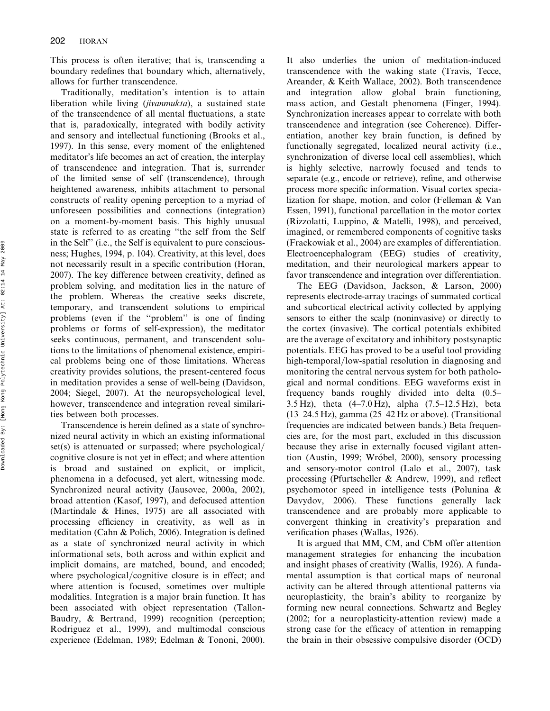This process is often iterative; that is, transcending a boundary redefines that boundary which, alternatively, allows for further transcendence.

Traditionally, meditation's intention is to attain liberation while living (jivanmukta), a sustained state of the transcendence of all mental fluctuations, a state that is, paradoxically, integrated with bodily activity and sensory and intellectual functioning (Brooks et al., 1997). In this sense, every moment of the enlightened meditator's life becomes an act of creation, the interplay of transcendence and integration. That is, surrender of the limited sense of self (transcendence), through heightened awareness, inhibits attachment to personal constructs of reality opening perception to a myriad of unforeseen possibilities and connections (integration) on a moment-by-moment basis. This highly unusual state is referred to as creating ''the self from the Self in the Self'' (i.e., the Self is equivalent to pure consciousness; Hughes, 1994, p. 104). Creativity, at this level, does not necessarily result in a specific contribution (Horan, 2007). The key difference between creativity, defined as problem solving, and meditation lies in the nature of the problem. Whereas the creative seeks discrete, temporary, and transcendent solutions to empirical problems (even if the ''problem'' is one of finding problems or forms of self-expression), the meditator seeks continuous, permanent, and transcendent solutions to the limitations of phenomenal existence, empirical problems being one of those limitations. Whereas creativity provides solutions, the present-centered focus in meditation provides a sense of well-being (Davidson, 2004; Siegel, 2007). At the neuropsychological level, however, transcendence and integration reveal similarities between both processes.

Transcendence is herein defined as a state of synchronized neural activity in which an existing informational set(s) is attenuated or surpassed; where psychological/ cognitive closure is not yet in effect; and where attention is broad and sustained on explicit, or implicit, phenomena in a defocused, yet alert, witnessing mode. Synchronized neural activity (Jausovec, 2000a, 2002), broad attention (Kasof, 1997), and defocused attention (Martindale & Hines, 1975) are all associated with processing efficiency in creativity, as well as in meditation (Cahn & Polich, 2006). Integration is defined as a state of synchronized neural activity in which informational sets, both across and within explicit and implicit domains, are matched, bound, and encoded; where psychological/cognitive closure is in effect; and where attention is focused, sometimes over multiple modalities. Integration is a major brain function. It has been associated with object representation (Tallon-Baudry, & Bertrand, 1999) recognition (perception; Rodriguez et al., 1999), and multimodal conscious experience (Edelman, 1989; Edelman & Tononi, 2000).

It also underlies the union of meditation-induced transcendence with the waking state (Travis, Tecce, Areander, & Keith Wallace, 2002). Both transcendence and integration allow global brain functioning, mass action, and Gestalt phenomena (Finger, 1994). Synchronization increases appear to correlate with both transcendence and integration (see Coherence). Differentiation, another key brain function, is defined by functionally segregated, localized neural activity (i.e., synchronization of diverse local cell assemblies), which is highly selective, narrowly focused and tends to separate (e.g., encode or retrieve), refine, and otherwise process more specific information. Visual cortex specialization for shape, motion, and color (Felleman & Van Essen, 1991), functional parcellation in the motor cortex (Rizzolatti, Luppino, & Matelli, 1998), and perceived, imagined, or remembered components of cognitive tasks (Frackowiak et al., 2004) are examples of differentiation. Electroencephalogram (EEG) studies of creativity, meditation, and their neurological markers appear to favor transcendence and integration over differentiation.

The EEG (Davidson, Jackson, & Larson, 2000) represents electrode-array tracings of summated cortical and subcortical electrical activity collected by applying sensors to either the scalp (noninvasive) or directly to the cortex (invasive). The cortical potentials exhibited are the average of excitatory and inhibitory postsynaptic potentials. EEG has proved to be a useful tool providing high-temporal/low-spatial resolution in diagnosing and monitoring the central nervous system for both pathological and normal conditions. EEG waveforms exist in frequency bands roughly divided into delta (0.5– 3.5 Hz), theta (4–7.0 Hz), alpha (7.5–12.5 Hz), beta (13–24.5 Hz), gamma (25–42 Hz or above). (Transitional frequencies are indicated between bands.) Beta frequencies are, for the most part, excluded in this discussion because they arise in externally focused vigilant attention (Austin, 1999; Wróbel, 2000), sensory processing and sensory-motor control (Lalo et al., 2007), task processing (Pfurtscheller & Andrew, 1999), and reflect psychomotor speed in intelligence tests (Polunina & Davydov, 2006). These functions generally lack transcendence and are probably more applicable to convergent thinking in creativity's preparation and verification phases (Wallas, 1926).

It is argued that MM, CM, and CbM offer attention management strategies for enhancing the incubation and insight phases of creativity (Wallis, 1926). A fundamental assumption is that cortical maps of neuronal activity can be altered through attentional patterns via neuroplasticity, the brain's ability to reorganize by forming new neural connections. Schwartz and Begley (2002; for a neuroplasticity-attention review) made a strong case for the efficacy of attention in remapping the brain in their obsessive compulsive disorder (OCD)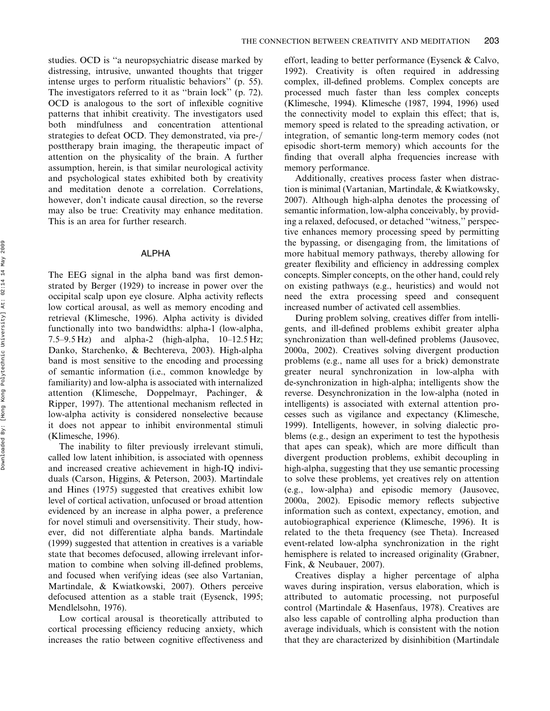studies. OCD is ''a neuropsychiatric disease marked by distressing, intrusive, unwanted thoughts that trigger intense urges to perform ritualistic behaviors'' (p. 55). The investigators referred to it as ''brain lock'' (p. 72). OCD is analogous to the sort of inflexible cognitive patterns that inhibit creativity. The investigators used both mindfulness and concentration attentional strategies to defeat OCD. They demonstrated, via pre-/ posttherapy brain imaging, the therapeutic impact of attention on the physicality of the brain. A further assumption, herein, is that similar neurological activity and psychological states exhibited both by creativity and meditation denote a correlation. Correlations, however, don't indicate causal direction, so the reverse may also be true: Creativity may enhance meditation. This is an area for further research.

#### ALPHA

The EEG signal in the alpha band was first demonstrated by Berger (1929) to increase in power over the occipital scalp upon eye closure. Alpha activity reflects low cortical arousal, as well as memory encoding and retrieval (Klimesche, 1996). Alpha activity is divided functionally into two bandwidths: alpha-1 (low-alpha, 7.5–9.5 Hz) and alpha-2 (high-alpha,  $10-12.5$  Hz; Danko, Starchenko, & Bechtereva, 2003). High-alpha band is most sensitive to the encoding and processing of semantic information (i.e., common knowledge by familiarity) and low-alpha is associated with internalized attention (Klimesche, Doppelmayr, Pachinger, & Ripper, 1997). The attentional mechanism reflected in low-alpha activity is considered nonselective because it does not appear to inhibit environmental stimuli (Klimesche, 1996).

The inability to filter previously irrelevant stimuli, called low latent inhibition, is associated with openness and increased creative achievement in high-IQ individuals (Carson, Higgins, & Peterson, 2003). Martindale and Hines (1975) suggested that creatives exhibit low level of cortical activation, unfocused or broad attention evidenced by an increase in alpha power, a preference for novel stimuli and oversensitivity. Their study, however, did not differentiate alpha bands. Martindale (1999) suggested that attention in creatives is a variable state that becomes defocused, allowing irrelevant information to combine when solving ill-defined problems, and focused when verifying ideas (see also Vartanian, Martindale, & Kwiatkowski, 2007). Others perceive defocused attention as a stable trait (Eysenck, 1995; Mendlelsohn, 1976).

Low cortical arousal is theoretically attributed to cortical processing efficiency reducing anxiety, which increases the ratio between cognitive effectiveness and effort, leading to better performance (Eysenck & Calvo, 1992). Creativity is often required in addressing complex, ill-defined problems. Complex concepts are processed much faster than less complex concepts (Klimesche, 1994). Klimesche (1987, 1994, 1996) used the connectivity model to explain this effect; that is, memory speed is related to the spreading activation, or integration, of semantic long-term memory codes (not episodic short-term memory) which accounts for the finding that overall alpha frequencies increase with memory performance.

Additionally, creatives process faster when distraction is minimal (Vartanian, Martindale, & Kwiatkowsky, 2007). Although high-alpha denotes the processing of semantic information, low-alpha conceivably, by providing a relaxed, defocused, or detached ''witness,'' perspective enhances memory processing speed by permitting the bypassing, or disengaging from, the limitations of more habitual memory pathways, thereby allowing for greater flexibility and efficiency in addressing complex concepts. Simpler concepts, on the other hand, could rely on existing pathways (e.g., heuristics) and would not need the extra processing speed and consequent increased number of activated cell assemblies.

During problem solving, creatives differ from intelligents, and ill-defined problems exhibit greater alpha synchronization than well-defined problems (Jausovec, 2000a, 2002). Creatives solving divergent production problems (e.g., name all uses for a brick) demonstrate greater neural synchronization in low-alpha with de-synchronization in high-alpha; intelligents show the reverse. Desynchronization in the low-alpha (noted in intelligents) is associated with external attention processes such as vigilance and expectancy (Klimesche, 1999). Intelligents, however, in solving dialectic problems (e.g., design an experiment to test the hypothesis that apes can speak), which are more difficult than divergent production problems, exhibit decoupling in high-alpha, suggesting that they use semantic processing to solve these problems, yet creatives rely on attention (e.g., low-alpha) and episodic memory (Jausovec, 2000a, 2002). Episodic memory reflects subjective information such as context, expectancy, emotion, and autobiographical experience (Klimesche, 1996). It is related to the theta frequency (see Theta). Increased event-related low-alpha synchronization in the right hemisphere is related to increased originality (Grabner, Fink, & Neubauer, 2007).

Creatives display a higher percentage of alpha waves during inspiration, versus elaboration, which is attributed to automatic processing, not purposeful control (Martindale & Hasenfaus, 1978). Creatives are also less capable of controlling alpha production than average individuals, which is consistent with the notion that they are characterized by disinhibition (Martindale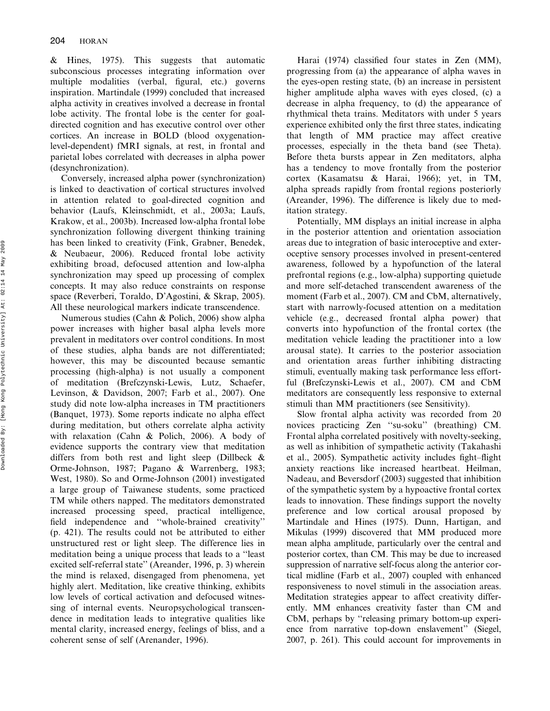& Hines, 1975). This suggests that automatic subconscious processes integrating information over multiple modalities (verbal, figural, etc.) governs inspiration. Martindale (1999) concluded that increased alpha activity in creatives involved a decrease in frontal lobe activity. The frontal lobe is the center for goaldirected cognition and has executive control over other cortices. An increase in BOLD (blood oxygenationlevel-dependent) fMRI signals, at rest, in frontal and parietal lobes correlated with decreases in alpha power (desynchronization).

Conversely, increased alpha power (synchronization) is linked to deactivation of cortical structures involved in attention related to goal-directed cognition and behavior (Laufs, Kleinschmidt, et al., 2003a; Laufs, Krakow, et al., 2003b). Increased low-alpha frontal lobe synchronization following divergent thinking training has been linked to creativity (Fink, Grabner, Benedek, & Neubaeur, 2006). Reduced frontal lobe activity exhibiting broad, defocused attention and low-alpha synchronization may speed up processing of complex concepts. It may also reduce constraints on response space (Reverberi, Toraldo, D'Agostini, & Skrap, 2005). All these neurological markers indicate transcendence.

Numerous studies (Cahn & Polich, 2006) show alpha power increases with higher basal alpha levels more prevalent in meditators over control conditions. In most of these studies, alpha bands are not differentiated; however, this may be discounted because semantic processing (high-alpha) is not usually a component of meditation (Brefczynski-Lewis, Lutz, Schaefer, Levinson, & Davidson, 2007; Farb et al., 2007). One study did note low-alpha increases in TM practitioners (Banquet, 1973). Some reports indicate no alpha effect during meditation, but others correlate alpha activity with relaxation (Cahn & Polich, 2006). A body of evidence supports the contrary view that meditation differs from both rest and light sleep (Dillbeck & Orme-Johnson, 1987; Pagano & Warrenberg, 1983; West, 1980). So and Orme-Johnson (2001) investigated a large group of Taiwanese students, some practiced TM while others napped. The meditators demonstrated increased processing speed, practical intelligence, field independence and ''whole-brained creativity'' (p. 421). The results could not be attributed to either unstructured rest or light sleep. The difference lies in meditation being a unique process that leads to a ''least excited self-referral state'' (Areander, 1996, p. 3) wherein the mind is relaxed, disengaged from phenomena, yet highly alert. Meditation, like creative thinking, exhibits low levels of cortical activation and defocused witnessing of internal events. Neuropsychological transcendence in meditation leads to integrative qualities like mental clarity, increased energy, feelings of bliss, and a coherent sense of self (Arenander, 1996).

Harai (1974) classified four states in Zen (MM), progressing from (a) the appearance of alpha waves in the eyes-open resting state, (b) an increase in persistent higher amplitude alpha waves with eyes closed, (c) a decrease in alpha frequency, to (d) the appearance of rhythmical theta trains. Meditators with under 5 years experience exhibited only the first three states, indicating that length of MM practice may affect creative processes, especially in the theta band (see Theta). Before theta bursts appear in Zen meditators, alpha has a tendency to move frontally from the posterior cortex (Kasamatsu & Harai, 1966); yet, in TM, alpha spreads rapidly from frontal regions posteriorly (Areander, 1996). The difference is likely due to meditation strategy.

Potentially, MM displays an initial increase in alpha in the posterior attention and orientation association areas due to integration of basic interoceptive and exteroceptive sensory processes involved in present-centered awareness, followed by a hypofunction of the lateral prefrontal regions (e.g., low-alpha) supporting quietude and more self-detached transcendent awareness of the moment (Farb et al., 2007). CM and CbM, alternatively, start with narrowly-focused attention on a meditation vehicle (e.g., decreased frontal alpha power) that converts into hypofunction of the frontal cortex (the meditation vehicle leading the practitioner into a low arousal state). It carries to the posterior association and orientation areas further inhibiting distracting stimuli, eventually making task performance less effortful (Brefczynski-Lewis et al., 2007). CM and CbM meditators are consequently less responsive to external stimuli than MM practitioners (see Sensitivity).

Slow frontal alpha activity was recorded from 20 novices practicing Zen ''su-soku'' (breathing) CM. Frontal alpha correlated positively with novelty-seeking, as well as inhibition of sympathetic activity (Takahashi et al., 2005). Sympathetic activity includes fight–flight anxiety reactions like increased heartbeat. Heilman, Nadeau, and Beversdorf (2003) suggested that inhibition of the sympathetic system by a hypoactive frontal cortex leads to innovation. These findings support the novelty preference and low cortical arousal proposed by Martindale and Hines (1975). Dunn, Hartigan, and Mikulas (1999) discovered that MM produced more mean alpha amplitude, particularly over the central and posterior cortex, than CM. This may be due to increased suppression of narrative self-focus along the anterior cortical midline (Farb et al., 2007) coupled with enhanced responsiveness to novel stimuli in the association areas. Meditation strategies appear to affect creativity differently. MM enhances creativity faster than CM and CbM, perhaps by ''releasing primary bottom-up experience from narrative top-down enslavement'' (Siegel, 2007, p. 261). This could account for improvements in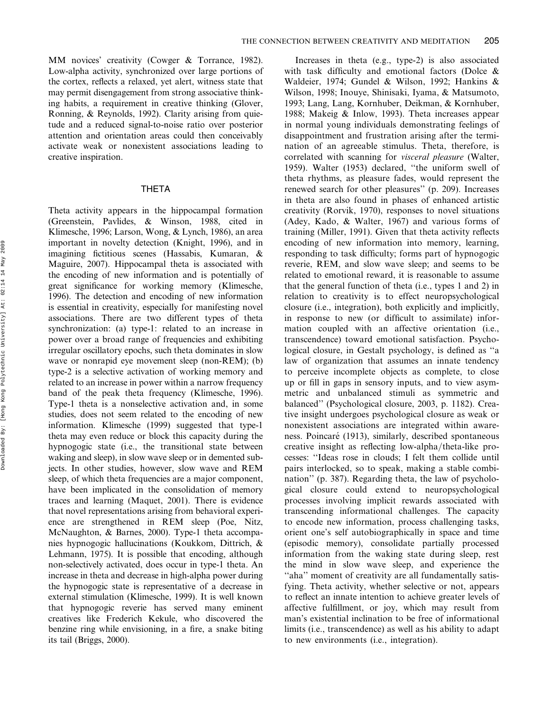MM novices' creativity (Cowger & Torrance, 1982). Low-alpha activity, synchronized over large portions of the cortex, reflects a relaxed, yet alert, witness state that may permit disengagement from strong associative thinking habits, a requirement in creative thinking (Glover, Ronning, & Reynolds, 1992). Clarity arising from quietude and a reduced signal-to-noise ratio over posterior attention and orientation areas could then conceivably activate weak or nonexistent associations leading to creative inspiration.

## THETA

Theta activity appears in the hippocampal formation (Greenstein, Pavlides, & Winson, 1988, cited in Klimesche, 1996; Larson, Wong, & Lynch, 1986), an area important in novelty detection (Knight, 1996), and in imagining fictitious scenes (Hassabis, Kumaran, & Maguire, 2007). Hippocampal theta is associated with the encoding of new information and is potentially of great significance for working memory (Klimesche, 1996). The detection and encoding of new information is essential in creativity, especially for manifesting novel associations. There are two different types of theta synchronization: (a) type-1: related to an increase in power over a broad range of frequencies and exhibiting irregular oscillatory epochs, such theta dominates in slow wave or nonrapid eye movement sleep (non-REM); (b) type-2 is a selective activation of working memory and related to an increase in power within a narrow frequency band of the peak theta frequency (Klimesche, 1996). Type-1 theta is a nonselective activation and, in some studies, does not seem related to the encoding of new information. Klimesche (1999) suggested that type-1 theta may even reduce or block this capacity during the hypnogogic state (i.e., the transitional state between waking and sleep), in slow wave sleep or in demented subjects. In other studies, however, slow wave and REM sleep, of which theta frequencies are a major component, have been implicated in the consolidation of memory traces and learning (Maquet, 2001). There is evidence that novel representations arising from behavioral experience are strengthened in REM sleep (Poe, Nitz, McNaughton, & Barnes, 2000). Type-1 theta accompanies hypnogogic hallucinations (Koukkom, Dittrich, & Lehmann, 1975). It is possible that encoding, although non-selectively activated, does occur in type-1 theta. An increase in theta and decrease in high-alpha power during the hypnogogic state is representative of a decrease in external stimulation (Klimesche, 1999). It is well known that hypnogogic reverie has served many eminent creatives like Frederich Kekule, who discovered the benzine ring while envisioning, in a fire, a snake biting its tail (Briggs, 2000).

Increases in theta (e.g., type-2) is also associated with task difficulty and emotional factors (Dolce & Waldeier, 1974; Gundel & Wilson, 1992; Hankins & Wilson, 1998; Inouye, Shinisaki, Iyama, & Matsumoto, 1993; Lang, Lang, Kornhuber, Deikman, & Kornhuber, 1988; Makeig & Inlow, 1993). Theta increases appear in normal young individuals demonstrating feelings of disappointment and frustration arising after the termination of an agreeable stimulus. Theta, therefore, is correlated with scanning for visceral pleasure (Walter, 1959). Walter (1953) declared, ''the uniform swell of theta rhythms, as pleasure fades, would represent the renewed search for other pleasures'' (p. 209). Increases in theta are also found in phases of enhanced artistic creativity (Rorvik, 1970), responses to novel situations (Adey, Kado, & Walter, 1967) and various forms of training (Miller, 1991). Given that theta activity reflects encoding of new information into memory, learning, responding to task difficulty; forms part of hypnogogic reverie, REM, and slow wave sleep; and seems to be related to emotional reward, it is reasonable to assume that the general function of theta (i.e., types 1 and 2) in relation to creativity is to effect neuropsychological closure (i.e., integration), both explicitly and implicitly, in response to new (or difficult to assimilate) information coupled with an affective orientation (i.e., transcendence) toward emotional satisfaction. Psychological closure, in Gestalt psychology, is defined as ''a law of organization that assumes an innate tendency to perceive incomplete objects as complete, to close up or fill in gaps in sensory inputs, and to view asymmetric and unbalanced stimuli as symmetric and balanced'' (Psychological closure, 2003, p. 1182). Creative insight undergoes psychological closure as weak or nonexistent associations are integrated within awareness. Poincaré (1913), similarly, described spontaneous creative insight as reflecting low-alpha/theta-like processes: ''Ideas rose in clouds; I felt them collide until pairs interlocked, so to speak, making a stable combination'' (p. 387). Regarding theta, the law of psychological closure could extend to neuropsychological processes involving implicit rewards associated with transcending informational challenges. The capacity to encode new information, process challenging tasks, orient one's self autobiographically in space and time (episodic memory), consolidate partially processed information from the waking state during sleep, rest the mind in slow wave sleep, and experience the "aha" moment of creativity are all fundamentally satisfying. Theta activity, whether selective or not, appears to reflect an innate intention to achieve greater levels of affective fulfillment, or joy, which may result from man's existential inclination to be free of informational limits (i.e., transcendence) as well as his ability to adapt to new environments (i.e., integration).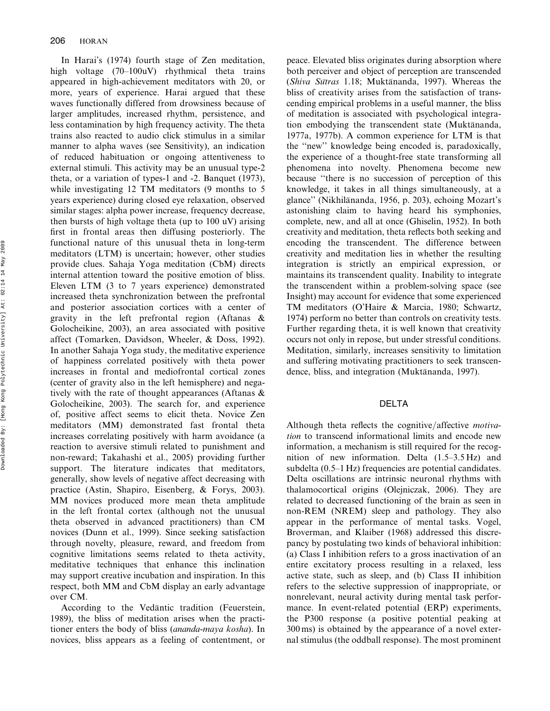In Harai's (1974) fourth stage of Zen meditation, high voltage (70–100uV) rhythmical theta trains appeared in high-achievement meditators with 20, or more, years of experience. Harai argued that these waves functionally differed from drowsiness because of larger amplitudes, increased rhythm, persistence, and less contamination by high frequency activity. The theta trains also reacted to audio click stimulus in a similar manner to alpha waves (see Sensitivity), an indication of reduced habituation or ongoing attentiveness to external stimuli. This activity may be an unusual type-2 theta, or a variation of types-1 and -2. Banquet (1973), while investigating 12 TM meditators (9 months to 5 years experience) during closed eye relaxation, observed similar stages: alpha power increase, frequency decrease, then bursts of high voltage theta (up to 100 uV) arising first in frontal areas then diffusing posteriorly. The functional nature of this unusual theta in long-term meditators (LTM) is uncertain; however, other studies provide clues. Sahaja Yoga meditation (CbM) directs internal attention toward the positive emotion of bliss. Eleven LTM (3 to 7 years experience) demonstrated increased theta synchronization between the prefrontal and posterior association cortices with a center of gravity in the left prefrontal region (Aftanas & Golocheikine, 2003), an area associated with positive affect (Tomarken, Davidson, Wheeler, & Doss, 1992). In another Sahaja Yoga study, the meditative experience of happiness correlated positively with theta power increases in frontal and mediofrontal cortical zones (center of gravity also in the left hemisphere) and negatively with the rate of thought appearances (Aftanas & Golocheikine, 2003). The search for, and experience of, positive affect seems to elicit theta. Novice Zen meditators (MM) demonstrated fast frontal theta increases correlating positively with harm avoidance (a reaction to aversive stimuli related to punishment and non-reward; Takahashi et al., 2005) providing further support. The literature indicates that meditators, generally, show levels of negative affect decreasing with practice (Astin, Shapiro, Eisenberg, & Forys, 2003). MM novices produced more mean theta amplitude in the left frontal cortex (although not the unusual theta observed in advanced practitioners) than CM novices (Dunn et al., 1999). Since seeking satisfaction through novelty, pleasure, reward, and freedom from cognitive limitations seems related to theta activity, meditative techniques that enhance this inclination may support creative incubation and inspiration. In this respect, both MM and CbM display an early advantage over CM.

According to the Vedantic tradition (Feuerstein, 1989), the bliss of meditation arises when the practitioner enters the body of bliss (ananda-maya kosha). In novices, bliss appears as a feeling of contentment, or peace. Elevated bliss originates during absorption where both perceiver and object of perception are transcended  $(Shiva\; Sūtras\; 1.18; \; Muktānanda, 1997). \; Whereas\; the$ bliss of creativity arises from the satisfaction of transcending empirical problems in a useful manner, the bliss of meditation is associated with psychological integration embodying the transcendent state (Muktānanda, 1977a, 1977b). A common experience for LTM is that the ''new'' knowledge being encoded is, paradoxically, the experience of a thought-free state transforming all phenomena into novelty. Phenomena become new because ''there is no succession of perception of this knowledge, it takes in all things simultaneously, at a glance" (Nikhilānanda, 1956, p. 203), echoing Mozart's astonishing claim to having heard his symphonies, complete, new, and all at once (Ghiselin, 1952). In both creativity and meditation, theta reflects both seeking and encoding the transcendent. The difference between creativity and meditation lies in whether the resulting integration is strictly an empirical expression, or maintains its transcendent quality. Inability to integrate the transcendent within a problem-solving space (see Insight) may account for evidence that some experienced TM meditators (O'Haire & Marcia, 1980; Schwartz, 1974) perform no better than controls on creativity tests. Further regarding theta, it is well known that creativity occurs not only in repose, but under stressful conditions. Meditation, similarly, increases sensitivity to limitation and suffering motivating practitioners to seek transcendence, bliss, and integration (Muktānanda, 1997).

## DELTA

Although theta reflects the cognitive/affective *motiva*tion to transcend informational limits and encode new information, a mechanism is still required for the recognition of new information. Delta (1.5–3.5 Hz) and subdelta (0.5–1 Hz) frequencies are potential candidates. Delta oscillations are intrinsic neuronal rhythms with thalamocortical origins (Olejniczak, 2006). They are related to decreased functioning of the brain as seen in non-REM (NREM) sleep and pathology. They also appear in the performance of mental tasks. Vogel, Broverman, and Klaiber (1968) addressed this discrepancy by postulating two kinds of behavioral inhibition: (a) Class I inhibition refers to a gross inactivation of an entire excitatory process resulting in a relaxed, less active state, such as sleep, and (b) Class II inhibition refers to the selective suppression of inappropriate, or nonrelevant, neural activity during mental task performance. In event-related potential (ERP) experiments, the P300 response (a positive potential peaking at 300 ms) is obtained by the appearance of a novel external stimulus (the oddball response). The most prominent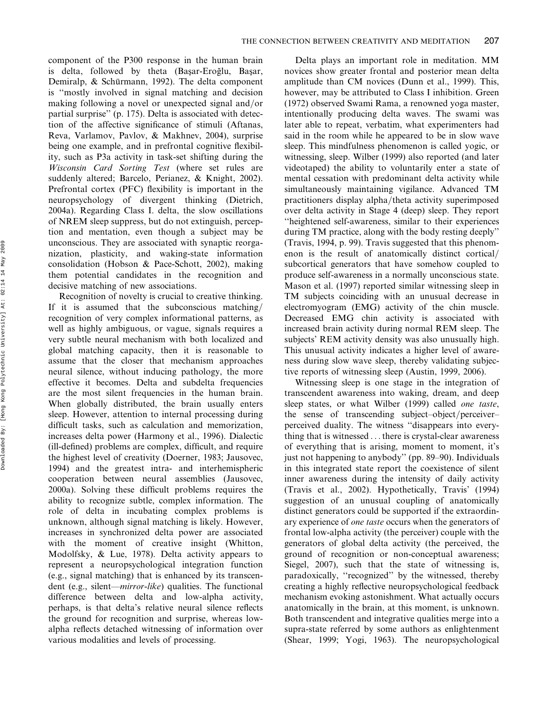component of the P300 response in the human brain is delta, followed by theta (Başar-Eroğlu, Başar, Demiralp, & Schürmann, 1992). The delta component is ''mostly involved in signal matching and decision making following a novel or unexpected signal and/or partial surprise'' (p. 175). Delta is associated with detection of the affective significance of stimuli (Aftanas, Reva, Varlamov, Pavlov, & Makhnev, 2004), surprise being one example, and in prefrontal cognitive flexibility, such as P3a activity in task-set shifting during the Wisconsin Card Sorting Test (where set rules are suddenly altered; Barcelo, Perianez, & Knight, 2002). Prefrontal cortex (PFC) flexibility is important in the neuropsychology of divergent thinking (Dietrich, 2004a). Regarding Class I. delta, the slow oscillations of NREM sleep suppress, but do not extinguish, perception and mentation, even though a subject may be unconscious. They are associated with synaptic reorganization, plasticity, and waking-state information consolidation (Hobson & Pace-Schott, 2002), making them potential candidates in the recognition and decisive matching of new associations.

Recognition of novelty is crucial to creative thinking. If it is assumed that the subconscious matching/ recognition of very complex informational patterns, as well as highly ambiguous, or vague, signals requires a very subtle neural mechanism with both localized and global matching capacity, then it is reasonable to assume that the closer that mechanism approaches neural silence, without inducing pathology, the more effective it becomes. Delta and subdelta frequencies are the most silent frequencies in the human brain. When globally distributed, the brain usually enters sleep. However, attention to internal processing during difficult tasks, such as calculation and memorization, increases delta power (Harmony et al., 1996). Dialectic (ill-defined) problems are complex, difficult, and require the highest level of creativity (Doerner, 1983; Jausovec, 1994) and the greatest intra- and interhemispheric cooperation between neural assemblies (Jausovec, 2000a). Solving these difficult problems requires the ability to recognize subtle, complex information. The role of delta in incubating complex problems is unknown, although signal matching is likely. However, increases in synchronized delta power are associated with the moment of creative insight (Whitton, Modolfsky, & Lue, 1978). Delta activity appears to represent a neuropsychological integration function (e.g., signal matching) that is enhanced by its transcendent (e.g., silent—mirror-like) qualities. The functional difference between delta and low-alpha activity, perhaps, is that delta's relative neural silence reflects the ground for recognition and surprise, whereas lowalpha reflects detached witnessing of information over various modalities and levels of processing.

Delta plays an important role in meditation. MM novices show greater frontal and posterior mean delta amplitude than CM novices (Dunn et al., 1999). This, however, may be attributed to Class I inhibition. Green (1972) observed Swami Rama, a renowned yoga master, intentionally producing delta waves. The swami was later able to repeat, verbatim, what experimenters had said in the room while he appeared to be in slow wave sleep. This mindfulness phenomenon is called yogic, or witnessing, sleep. Wilber (1999) also reported (and later videotaped) the ability to voluntarily enter a state of mental cessation with predominant delta activity while simultaneously maintaining vigilance. Advanced TM practitioners display alpha/theta activity superimposed over delta activity in Stage 4 (deep) sleep. They report ''heightened self-awareness, similar to their experiences during TM practice, along with the body resting deeply'' (Travis, 1994, p. 99). Travis suggested that this phenomenon is the result of anatomically distinct cortical/ subcortical generators that have somehow coupled to produce self-awareness in a normally unconscious state. Mason et al. (1997) reported similar witnessing sleep in TM subjects coinciding with an unusual decrease in electromyogram (EMG) activity of the chin muscle. Decreased EMG chin activity is associated with increased brain activity during normal REM sleep. The subjects' REM activity density was also unusually high. This unusual activity indicates a higher level of awareness during slow wave sleep, thereby validating subjective reports of witnessing sleep (Austin, 1999, 2006).

Witnessing sleep is one stage in the integration of transcendent awareness into waking, dream, and deep sleep states, or what Wilber (1999) called one taste, the sense of transcending subject–object/perceiver– perceived duality. The witness ''disappears into everything that is witnessed ... there is crystal-clear awareness of everything that is arising, moment to moment, it's just not happening to anybody'' (pp. 89–90). Individuals in this integrated state report the coexistence of silent inner awareness during the intensity of daily activity (Travis et al., 2002). Hypothetically, Travis' (1994) suggestion of an unusual coupling of anatomically distinct generators could be supported if the extraordinary experience of one taste occurs when the generators of frontal low-alpha activity (the perceiver) couple with the generators of global delta activity (the perceived, the ground of recognition or non-conceptual awareness; Siegel, 2007), such that the state of witnessing is, paradoxically, ''recognized'' by the witnessed, thereby creating a highly reflective neuropsychological feedback mechanism evoking astonishment. What actually occurs anatomically in the brain, at this moment, is unknown. Both transcendent and integrative qualities merge into a supra-state referred by some authors as enlightenment (Shear, 1999; Yogi, 1963). The neuropsychological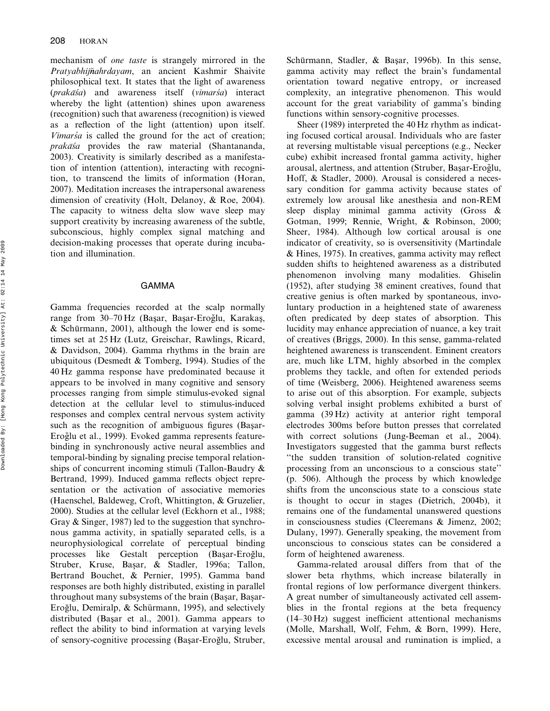mechanism of one taste is strangely mirrored in the Pratyabhijñahrdayam, an ancient Kashmir Shaivite philosophical text. It states that the light of awareness  $(prak\bar{a}sa)$  and awareness itself (vimars<sup>'a</sup>) interact whereby the light (attention) shines upon awareness (recognition) such that awareness (recognition) is viewed as a reflection of the light (attention) upon itself.  $V$ *imars<sup>'</sup>a* is called the ground for the act of creation;  $prak\bar{a}5a$  provides the raw material (Shantananda, 2003). Creativity is similarly described as a manifestation of intention (attention), interacting with recognition, to transcend the limits of information (Horan, 2007). Meditation increases the intrapersonal awareness dimension of creativity (Holt, Delanoy, & Roe, 2004). The capacity to witness delta slow wave sleep may support creativity by increasing awareness of the subtle, subconscious, highly complex signal matching and decision-making processes that operate during incubation and illumination.

#### GAMMA

Gamma frequencies recorded at the scalp normally range from 30–70 Hz (Başar, Başar-Eroğlu, Karakaş, & Schürmann, 2001), although the lower end is sometimes set at 25 Hz (Lutz, Greischar, Rawlings, Ricard, & Davidson, 2004). Gamma rhythms in the brain are ubiquitous (Desmedt  $&$  Tomberg, 1994). Studies of the 40 Hz gamma response have predominated because it appears to be involved in many cognitive and sensory processes ranging from simple stimulus-evoked signal detection at the cellular level to stimulus-induced responses and complex central nervous system activity such as the recognition of ambiguous figures (Basar-Eroğlu et al., 1999). Evoked gamma represents featurebinding in synchronously active neural assemblies and temporal-binding by signaling precise temporal relationships of concurrent incoming stimuli (Tallon-Baudry & Bertrand, 1999). Induced gamma reflects object representation or the activation of associative memories (Haenschel, Baldeweg, Croft, Whittington, & Gruzelier, 2000). Studies at the cellular level (Eckhorn et al., 1988; Gray & Singer, 1987) led to the suggestion that synchronous gamma activity, in spatially separated cells, is a neurophysiological correlate of perceptual binding processes like Gestalt perception (Başar-Eroğlu, Struber, Kruse, Başar, & Stadler, 1996a; Tallon, Bertrand Bouchet, & Pernier, 1995). Gamma band responses are both highly distributed, existing in parallel throughout many subsystems of the brain (Başar, Başar-Eroğlu, Demiralp, & Schürmann, 1995), and selectively distributed (Başar et al., 2001). Gamma appears to reflect the ability to bind information at varying levels of sensory-cognitive processing (Başar-Eroğlu, Struber,

Schürmann, Stadler, & Basar, 1996b). In this sense, gamma activity may reflect the brain's fundamental orientation toward negative entropy, or increased complexity, an integrative phenomenon. This would account for the great variability of gamma's binding functions within sensory-cognitive processes.

Sheer (1989) interpreted the 40 Hz rhythm as indicating focused cortical arousal. Individuals who are faster at reversing multistable visual perceptions (e.g., Necker cube) exhibit increased frontal gamma activity, higher arousal, alertness, and attention (Struber, Başar-Eroğlu, Hoff, & Stadler, 2000). Arousal is considered a necessary condition for gamma activity because states of extremely low arousal like anesthesia and non-REM sleep display minimal gamma activity (Gross & Gotman, 1999; Rennie, Wright, & Robinson, 2000; Sheer, 1984). Although low cortical arousal is one indicator of creativity, so is oversensitivity (Martindale & Hines, 1975). In creatives, gamma activity may reflect sudden shifts to heightened awareness as a distributed phenomenon involving many modalities. Ghiselin (1952), after studying 38 eminent creatives, found that creative genius is often marked by spontaneous, involuntary production in a heightened state of awareness often predicated by deep states of absorption. This lucidity may enhance appreciation of nuance, a key trait of creatives (Briggs, 2000). In this sense, gamma-related heightened awareness is transcendent. Eminent creators are, much like LTM, highly absorbed in the complex problems they tackle, and often for extended periods of time (Weisberg, 2006). Heightened awareness seems to arise out of this absorption. For example, subjects solving verbal insight problems exhibited a burst of gamma (39 Hz) activity at anterior right temporal electrodes 300ms before button presses that correlated with correct solutions (Jung-Beeman et al., 2004). Investigators suggested that the gamma burst reflects ''the sudden transition of solution-related cognitive processing from an unconscious to a conscious state'' (p. 506). Although the process by which knowledge shifts from the unconscious state to a conscious state is thought to occur in stages (Dietrich, 2004b), it remains one of the fundamental unanswered questions in consciousness studies (Cleeremans & Jimenz, 2002; Dulany, 1997). Generally speaking, the movement from unconscious to conscious states can be considered a form of heightened awareness.

Gamma-related arousal differs from that of the slower beta rhythms, which increase bilaterally in frontal regions of low performance divergent thinkers. A great number of simultaneously activated cell assemblies in the frontal regions at the beta frequency (14–30 Hz) suggest inefficient attentional mechanisms (Molle, Marshall, Wolf, Fehm, & Born, 1999). Here, excessive mental arousal and rumination is implied, a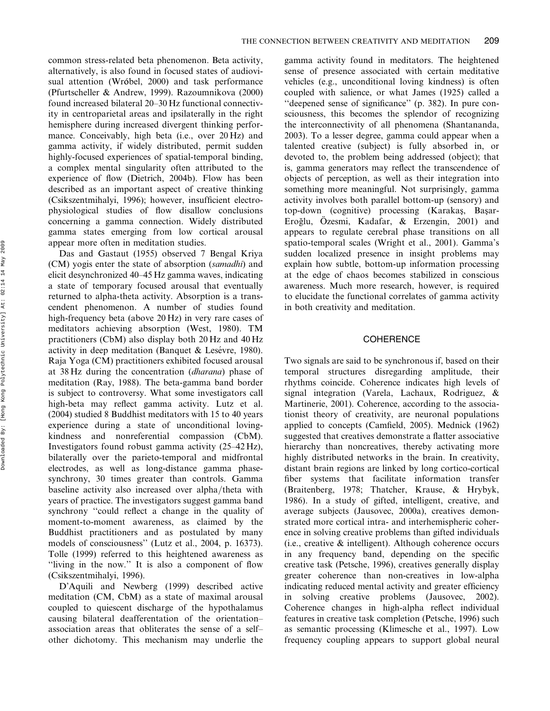common stress-related beta phenomenon. Beta activity, alternatively, is also found in focused states of audiovisual attention (Wróbel, 2000) and task performance (Pfurtscheller & Andrew, 1999). Razoumnikova (2000) found increased bilateral 20–30 Hz functional connectivity in centroparietal areas and ipsilaterally in the right hemisphere during increased divergent thinking performance. Conceivably, high beta (i.e., over 20 Hz) and gamma activity, if widely distributed, permit sudden highly-focused experiences of spatial-temporal binding, a complex mental singularity often attributed to the experience of flow (Dietrich, 2004b). Flow has been described as an important aspect of creative thinking (Csikszentmihalyi, 1996); however, insufficient electrophysiological studies of flow disallow conclusions concerning a gamma connection. Widely distributed gamma states emerging from low cortical arousal appear more often in meditation studies.

Das and Gastaut (1955) observed 7 Bengal Kriya (CM) yogis enter the state of absorption (samadhi) and elicit desynchronized 40–45 Hz gamma waves, indicating a state of temporary focused arousal that eventually returned to alpha-theta activity. Absorption is a transcendent phenomenon. A number of studies found high-frequency beta (above 20 Hz) in very rare cases of meditators achieving absorption (West, 1980). TM practitioners (CbM) also display both 20 Hz and 40 Hz activity in deep meditation (Banquet & Lesévre, 1980). Raja Yoga (CM) practitioners exhibited focused arousal at 38 Hz during the concentration (dharana) phase of meditation (Ray, 1988). The beta-gamma band border is subject to controversy. What some investigators call high-beta may reflect gamma activity. Lutz et al. (2004) studied 8 Buddhist meditators with 15 to 40 years experience during a state of unconditional lovingkindness and nonreferential compassion (CbM). Investigators found robust gamma activity (25–42 Hz), bilaterally over the parieto-temporal and midfrontal electrodes, as well as long-distance gamma phasesynchrony, 30 times greater than controls. Gamma baseline activity also increased over alpha/theta with years of practice. The investigators suggest gamma band synchrony ''could reflect a change in the quality of moment-to-moment awareness, as claimed by the Buddhist practitioners and as postulated by many models of consciousness'' (Lutz et al., 2004, p. 16373). Tolle (1999) referred to this heightened awareness as ''living in the now.'' It is also a component of flow (Csikszentmihalyi, 1996).

D'Aquili and Newberg (1999) described active meditation (CM, CbM) as a state of maximal arousal coupled to quiescent discharge of the hypothalamus causing bilateral deafferentation of the orientation– association areas that obliterates the sense of a self– other dichotomy. This mechanism may underlie the gamma activity found in meditators. The heightened sense of presence associated with certain meditative vehicles (e.g., unconditional loving kindness) is often coupled with salience, or what James (1925) called a "deepened sense of significance" (p. 382). In pure consciousness, this becomes the splendor of recognizing the interconnectivity of all phenomena (Shantananda, 2003). To a lesser degree, gamma could appear when a talented creative (subject) is fully absorbed in, or devoted to, the problem being addressed (object); that is, gamma generators may reflect the transcendence of objects of perception, as well as their integration into something more meaningful. Not surprisingly, gamma activity involves both parallel bottom-up (sensory) and top-down (cognitive) processing (Karakas, Basar-Eroğlu, Özesmi, Kadafar, & Erzengin, 2001) and appears to regulate cerebral phase transitions on all spatio-temporal scales (Wright et al., 2001). Gamma's sudden localized presence in insight problems may explain how subtle, bottom-up information processing at the edge of chaos becomes stabilized in conscious awareness. Much more research, however, is required to elucidate the functional correlates of gamma activity in both creativity and meditation.

## **COHERENCE**

Two signals are said to be synchronous if, based on their temporal structures disregarding amplitude, their rhythms coincide. Coherence indicates high levels of signal integration (Varela, Lachaux, Rodriguez, & Martinerie, 2001). Coherence, according to the associationist theory of creativity, are neuronal populations applied to concepts (Camfield, 2005). Mednick (1962) suggested that creatives demonstrate a flatter associative hierarchy than noncreatives, thereby activating more highly distributed networks in the brain. In creativity, distant brain regions are linked by long cortico-cortical fiber systems that facilitate information transfer (Braitenberg, 1978; Thatcher, Krause, & Hrybyk, 1986). In a study of gifted, intelligent, creative, and average subjects (Jausovec, 2000a), creatives demonstrated more cortical intra- and interhemispheric coherence in solving creative problems than gifted individuals (i.e., creative & intelligent). Although coherence occurs in any frequency band, depending on the specific creative task (Petsche, 1996), creatives generally display greater coherence than non-creatives in low-alpha indicating reduced mental activity and greater efficiency in solving creative problems (Jausovec, 2002). Coherence changes in high-alpha reflect individual features in creative task completion (Petsche, 1996) such as semantic processing (Klimesche et al., 1997). Low frequency coupling appears to support global neural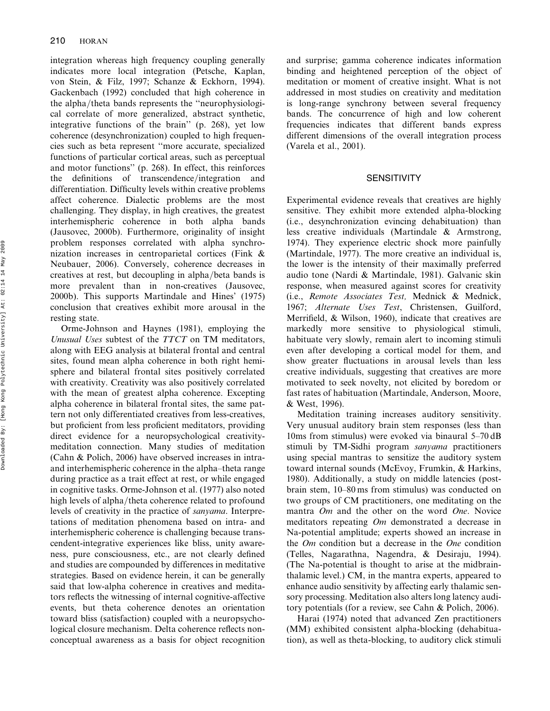integration whereas high frequency coupling generally indicates more local integration (Petsche, Kaplan, von Stein, & Filz, 1997; Schanze & Eckhorn, 1994). Gackenbach (1992) concluded that high coherence in the alpha/theta bands represents the "neurophysiological correlate of more generalized, abstract synthetic, integrative functions of the brain'' (p. 268), yet low coherence (desynchronization) coupled to high frequencies such as beta represent ''more accurate, specialized functions of particular cortical areas, such as perceptual and motor functions'' (p. 268). In effect, this reinforces the definitions of transcendence/integration and differentiation. Difficulty levels within creative problems affect coherence. Dialectic problems are the most challenging. They display, in high creatives, the greatest interhemispheric coherence in both alpha bands (Jausovec, 2000b). Furthermore, originality of insight problem responses correlated with alpha synchronization increases in centroparietal cortices (Fink & Neubauer, 2006). Conversely, coherence decreases in creatives at rest, but decoupling in alpha/beta bands is more prevalent than in non-creatives (Jausovec, 2000b). This supports Martindale and Hines' (1975) conclusion that creatives exhibit more arousal in the resting state.

Orme-Johnson and Haynes (1981), employing the Unusual Uses subtest of the TTCT on TM meditators, along with EEG analysis at bilateral frontal and central sites, found mean alpha coherence in both right hemisphere and bilateral frontal sites positively correlated with creativity. Creativity was also positively correlated with the mean of greatest alpha coherence. Excepting alpha coherence in bilateral frontal sites, the same pattern not only differentiated creatives from less-creatives, but proficient from less proficient meditators, providing direct evidence for a neuropsychological creativitymeditation connection. Many studies of meditation (Cahn & Polich, 2006) have observed increases in intraand interhemispheric coherence in the alpha–theta range during practice as a trait effect at rest, or while engaged in cognitive tasks. Orme-Johnson et al. (1977) also noted high levels of alpha/theta coherence related to profound levels of creativity in the practice of sanyama. Interpretations of meditation phenomena based on intra- and interhemispheric coherence is challenging because transcendent-integrative experiences like bliss, unity awareness, pure consciousness, etc., are not clearly defined and studies are compounded by differences in meditative strategies. Based on evidence herein, it can be generally said that low-alpha coherence in creatives and meditators reflects the witnessing of internal cognitive-affective events, but theta coherence denotes an orientation toward bliss (satisfaction) coupled with a neuropsychological closure mechanism. Delta coherence reflects nonconceptual awareness as a basis for object recognition and surprise; gamma coherence indicates information binding and heightened perception of the object of meditation or moment of creative insight. What is not addressed in most studies on creativity and meditation is long-range synchrony between several frequency bands. The concurrence of high and low coherent frequencies indicates that different bands express different dimensions of the overall integration process (Varela et al., 2001).

## **SENSITIVITY**

Experimental evidence reveals that creatives are highly sensitive. They exhibit more extended alpha-blocking (i.e., desynchronization evincing dehabituation) than less creative individuals (Martindale & Armstrong, 1974). They experience electric shock more painfully (Martindale, 1977). The more creative an individual is, the lower is the intensity of their maximally preferred audio tone (Nardi & Martindale, 1981). Galvanic skin response, when measured against scores for creativity (i.e., Remote Associates Test, Mednick & Mednick, 1967; Alternate Uses Test, Christensen, Guilford, Merrifield, & Wilson, 1960), indicate that creatives are markedly more sensitive to physiological stimuli, habituate very slowly, remain alert to incoming stimuli even after developing a cortical model for them, and show greater fluctuations in arousal levels than less creative individuals, suggesting that creatives are more motivated to seek novelty, not elicited by boredom or fast rates of habituation (Martindale, Anderson, Moore, & West, 1996).

Meditation training increases auditory sensitivity. Very unusual auditory brain stem responses (less than 10ms from stimulus) were evoked via binaural 5–70 dB stimuli by TM-Sidhi program sanyama practitioners using special mantras to sensitize the auditory system toward internal sounds (McEvoy, Frumkin, & Harkins, 1980). Additionally, a study on middle latencies (postbrain stem, 10–80 ms from stimulus) was conducted on two groups of CM practitioners, one meditating on the mantra *Om* and the other on the word *One*. Novice meditators repeating Om demonstrated a decrease in Na-potential amplitude; experts showed an increase in the Om condition but a decrease in the One condition (Telles, Nagarathna, Nagendra, & Desiraju, 1994). (The Na-potential is thought to arise at the midbrainthalamic level.) CM, in the mantra experts, appeared to enhance audio sensitivity by affecting early thalamic sensory processing. Meditation also alters long latency auditory potentials (for a review, see Cahn & Polich, 2006).

Harai (1974) noted that advanced Zen practitioners (MM) exhibited consistent alpha-blocking (dehabituation), as well as theta-blocking, to auditory click stimuli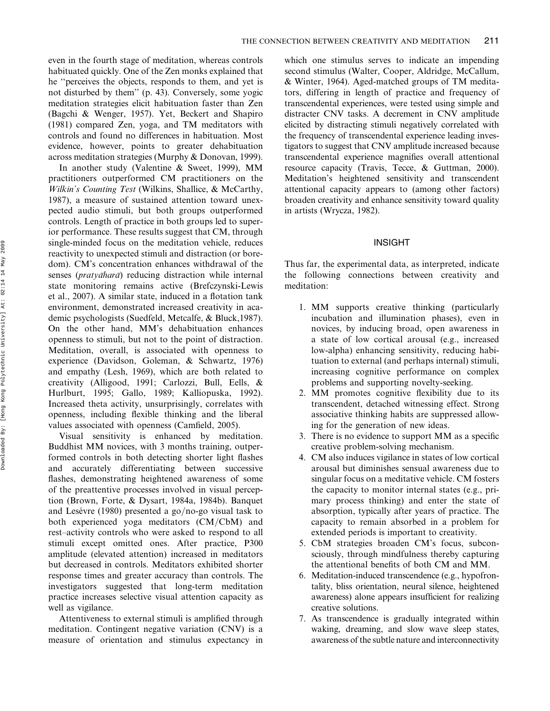even in the fourth stage of meditation, whereas controls habituated quickly. One of the Zen monks explained that he ''perceives the objects, responds to them, and yet is not disturbed by them'' (p. 43). Conversely, some yogic meditation strategies elicit habituation faster than Zen (Bagchi & Wenger, 1957). Yet, Beckert and Shapiro (1981) compared Zen, yoga, and TM meditators with controls and found no differences in habituation. Most evidence, however, points to greater dehabituation across meditation strategies (Murphy & Donovan, 1999).

In another study (Valentine & Sweet, 1999), MM practitioners outperformed CM practitioners on the Wilkin's Counting Test (Wilkins, Shallice, & McCarthy, 1987), a measure of sustained attention toward unexpected audio stimuli, but both groups outperformed controls. Length of practice in both groups led to superior performance. These results suggest that CM, through single-minded focus on the meditation vehicle, reduces reactivity to unexpected stimuli and distraction (or boredom). CM's concentration enhances withdrawal of the senses ( $praty\bar{a}hara$ ) reducing distraction while internal state monitoring remains active (Brefczynski-Lewis et al., 2007). A similar state, induced in a flotation tank environment, demonstrated increased creativity in academic psychologists (Suedfeld, Metcalfe, & Bluck,1987). On the other hand, MM's dehabituation enhances openness to stimuli, but not to the point of distraction. Meditation, overall, is associated with openness to experience (Davidson, Goleman, & Schwartz, 1976) and empathy (Lesh, 1969), which are both related to creativity (Alligood, 1991; Carlozzi, Bull, Eells, & Hurlburt, 1995; Gallo, 1989; Kalliopuska, 1992). Increased theta activity, unsurprisingly, correlates with openness, including flexible thinking and the liberal values associated with openness (Camfield, 2005).

Visual sensitivity is enhanced by meditation. Buddhist MM novices, with 3 months training, outperformed controls in both detecting shorter light flashes and accurately differentiating between successive flashes, demonstrating heightened awareness of some of the preattentive processes involved in visual perception (Brown, Forte, & Dysart, 1984a, 1984b). Banquet and Lesévre (1980) presented a go/no-go visual task to both experienced yoga meditators (CM/CbM) and rest–activity controls who were asked to respond to all stimuli except omitted ones. After practice, P300 amplitude (elevated attention) increased in meditators but decreased in controls. Meditators exhibited shorter response times and greater accuracy than controls. The investigators suggested that long-term meditation practice increases selective visual attention capacity as well as vigilance.

Attentiveness to external stimuli is amplified through meditation. Contingent negative variation (CNV) is a measure of orientation and stimulus expectancy in which one stimulus serves to indicate an impending second stimulus (Walter, Cooper, Aldridge, McCallum, & Winter, 1964). Aged-matched groups of TM meditators, differing in length of practice and frequency of transcendental experiences, were tested using simple and distracter CNV tasks. A decrement in CNV amplitude elicited by distracting stimuli negatively correlated with the frequency of transcendental experience leading investigators to suggest that CNV amplitude increased because transcendental experience magnifies overall attentional resource capacity (Travis, Tecce, & Guttman, 2000). Meditation's heightened sensitivity and transcendent attentional capacity appears to (among other factors) broaden creativity and enhance sensitivity toward quality in artists (Wrycza, 1982).

## INSIGHT

Thus far, the experimental data, as interpreted, indicate the following connections between creativity and meditation:

- 1. MM supports creative thinking (particularly incubation and illumination phases), even in novices, by inducing broad, open awareness in a state of low cortical arousal (e.g., increased low-alpha) enhancing sensitivity, reducing habituation to external (and perhaps internal) stimuli, increasing cognitive performance on complex problems and supporting novelty-seeking.
- 2. MM promotes cognitive flexibility due to its transcendent, detached witnessing effect. Strong associative thinking habits are suppressed allowing for the generation of new ideas.
- 3. There is no evidence to support MM as a specific creative problem-solving mechanism.
- 4. CM also induces vigilance in states of low cortical arousal but diminishes sensual awareness due to singular focus on a meditative vehicle. CM fosters the capacity to monitor internal states (e.g., primary process thinking) and enter the state of absorption, typically after years of practice. The capacity to remain absorbed in a problem for extended periods is important to creativity.
- 5. CbM strategies broaden CM's focus, subconsciously, through mindfulness thereby capturing the attentional benefits of both CM and MM.
- 6. Meditation-induced transcendence (e.g., hypofrontality, bliss orientation, neural silence, heightened awareness) alone appears insufficient for realizing creative solutions.
- 7. As transcendence is gradually integrated within waking, dreaming, and slow wave sleep states, awareness of the subtle nature and interconnectivity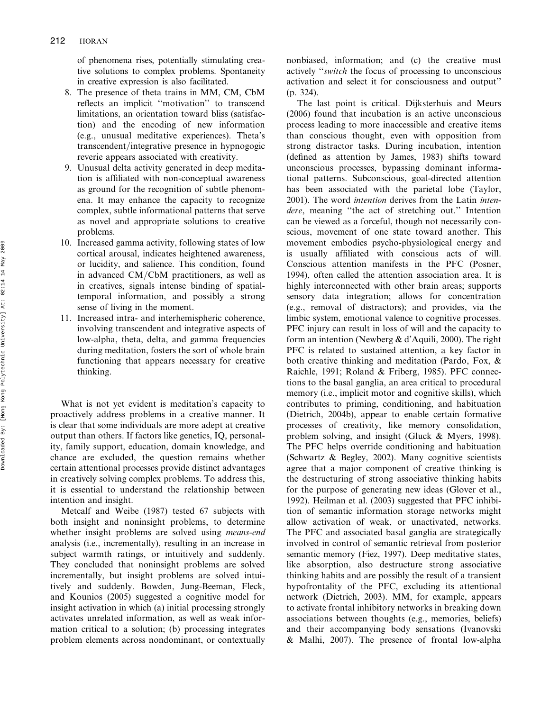of phenomena rises, potentially stimulating creative solutions to complex problems. Spontaneity in creative expression is also facilitated.

- 8. The presence of theta trains in MM, CM, CbM reflects an implicit ''motivation'' to transcend limitations, an orientation toward bliss (satisfaction) and the encoding of new information (e.g., unusual meditative experiences). Theta's transcendent/integrative presence in hypnogogic reverie appears associated with creativity.
- 9. Unusual delta activity generated in deep meditation is affiliated with non-conceptual awareness as ground for the recognition of subtle phenomena. It may enhance the capacity to recognize complex, subtle informational patterns that serve as novel and appropriate solutions to creative problems.
- 10. Increased gamma activity, following states of low cortical arousal, indicates heightened awareness, or lucidity, and salience. This condition, found in advanced  $CM/CbM$  practitioners, as well as in creatives, signals intense binding of spatialtemporal information, and possibly a strong sense of living in the moment.
- 11. Increased intra- and interhemispheric coherence, involving transcendent and integrative aspects of low-alpha, theta, delta, and gamma frequencies during meditation, fosters the sort of whole brain functioning that appears necessary for creative thinking.

What is not yet evident is meditation's capacity to proactively address problems in a creative manner. It is clear that some individuals are more adept at creative output than others. If factors like genetics, IQ, personality, family support, education, domain knowledge, and chance are excluded, the question remains whether certain attentional processes provide distinct advantages in creatively solving complex problems. To address this, it is essential to understand the relationship between intention and insight.

Metcalf and Weibe (1987) tested 67 subjects with both insight and noninsight problems, to determine whether insight problems are solved using means-end analysis (i.e., incrementally), resulting in an increase in subject warmth ratings, or intuitively and suddenly. They concluded that noninsight problems are solved incrementally, but insight problems are solved intuitively and suddenly. Bowden, Jung-Beeman, Fleck, and Kounios (2005) suggested a cognitive model for insight activation in which (a) initial processing strongly activates unrelated information, as well as weak information critical to a solution; (b) processing integrates problem elements across nondominant, or contextually

nonbiased, information; and (c) the creative must actively ''switch the focus of processing to unconscious activation and select it for consciousness and output'' (p. 324).

The last point is critical. Dijksterhuis and Meurs (2006) found that incubation is an active unconscious process leading to more inaccessible and creative items than conscious thought, even with opposition from strong distractor tasks. During incubation, intention (defined as attention by James, 1983) shifts toward unconscious processes, bypassing dominant informational patterns. Subconscious, goal-directed attention has been associated with the parietal lobe (Taylor, 2001). The word intention derives from the Latin intendere, meaning ''the act of stretching out.'' Intention can be viewed as a forceful, though not necessarily conscious, movement of one state toward another. This movement embodies psycho-physiological energy and is usually affiliated with conscious acts of will. Conscious attention manifests in the PFC (Posner, 1994), often called the attention association area. It is highly interconnected with other brain areas; supports sensory data integration; allows for concentration (e.g., removal of distractors); and provides, via the limbic system, emotional valence to cognitive processes. PFC injury can result in loss of will and the capacity to form an intention (Newberg & d'Aquili, 2000). The right PFC is related to sustained attention, a key factor in both creative thinking and meditation (Pardo, Fox, & Raichle, 1991; Roland & Friberg, 1985). PFC connections to the basal ganglia, an area critical to procedural memory (i.e., implicit motor and cognitive skills), which contributes to priming, conditioning, and habituation (Dietrich, 2004b), appear to enable certain formative processes of creativity, like memory consolidation, problem solving, and insight (Gluck & Myers, 1998). The PFC helps override conditioning and habituation (Schwartz & Begley, 2002). Many cognitive scientists agree that a major component of creative thinking is the destructuring of strong associative thinking habits for the purpose of generating new ideas (Glover et al., 1992). Heilman et al. (2003) suggested that PFC inhibition of semantic information storage networks might allow activation of weak, or unactivated, networks. The PFC and associated basal ganglia are strategically involved in control of semantic retrieval from posterior semantic memory (Fiez, 1997). Deep meditative states, like absorption, also destructure strong associative thinking habits and are possibly the result of a transient hypofrontality of the PFC, excluding its attentional network (Dietrich, 2003). MM, for example, appears to activate frontal inhibitory networks in breaking down associations between thoughts (e.g., memories, beliefs) and their accompanying body sensations (Ivanovski & Malhi, 2007). The presence of frontal low-alpha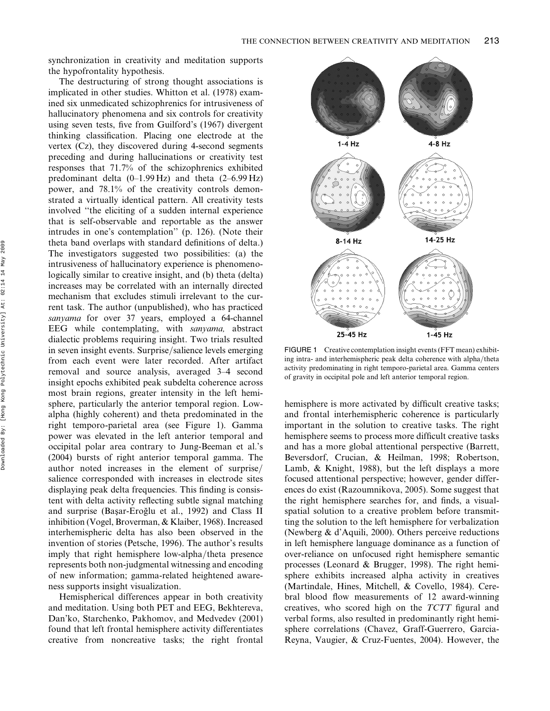synchronization in creativity and meditation supports the hypofrontality hypothesis.

The destructuring of strong thought associations is implicated in other studies. Whitton et al. (1978) examined six unmedicated schizophrenics for intrusiveness of hallucinatory phenomena and six controls for creativity using seven tests, five from Guilford's (1967) divergent thinking classification. Placing one electrode at the vertex (Cz), they discovered during 4-second segments preceding and during hallucinations or creativity test responses that 71.7% of the schizophrenics exhibited predominant delta  $(0-1.99 \text{ Hz})$  and theta  $(2-6.99 \text{ Hz})$ power, and 78.1% of the creativity controls demonstrated a virtually identical pattern. All creativity tests involved ''the eliciting of a sudden internal experience that is self-observable and reportable as the answer intrudes in one's contemplation'' (p. 126). (Note their theta band overlaps with standard definitions of delta.) The investigators suggested two possibilities: (a) the intrusiveness of hallucinatory experience is phenomenologically similar to creative insight, and (b) theta (delta) increases may be correlated with an internally directed mechanism that excludes stimuli irrelevant to the current task. The author (unpublished), who has practiced sanyama for over 37 years, employed a 64-channel EEG while contemplating, with sanyama, abstract dialectic problems requiring insight. Two trials resulted in seven insight events. Surprise/salience levels emerging from each event were later recorded. After artifact removal and source analysis, averaged 3–4 second insight epochs exhibited peak subdelta coherence across most brain regions, greater intensity in the left hemisphere, particularly the anterior temporal region. Lowalpha (highly coherent) and theta predominated in the right temporo-parietal area (see Figure 1). Gamma power was elevated in the left anterior temporal and occipital polar area contrary to Jung-Beeman et al.'s (2004) bursts of right anterior temporal gamma. The author noted increases in the element of surprise/ salience corresponded with increases in electrode sites displaying peak delta frequencies. This finding is consistent with delta activity reflecting subtle signal matching and surprise (Başar-Eroğlu et al., 1992) and Class II inhibition (Vogel, Broverman, & Klaiber, 1968). Increased interhemispheric delta has also been observed in the invention of stories (Petsche, 1996). The author's results imply that right hemisphere low-alpha/theta presence represents both non-judgmental witnessing and encoding of new information; gamma-related heightened awareness supports insight visualization.

Hemispherical differences appear in both creativity and meditation. Using both PET and EEG, Bekhtereva, Dan'ko, Starchenko, Pakhomov, and Medvedev (2001) found that left frontal hemisphere activity differentiates creative from noncreative tasks; the right frontal



FIGURE 1 Creative contemplation insight events (FFT mean) exhibiting intra- and interhemispheric peak delta coherence with alpha/theta activity predominating in right temporo-parietal area. Gamma centers of gravity in occipital pole and left anterior temporal region.

hemisphere is more activated by difficult creative tasks; and frontal interhemispheric coherence is particularly important in the solution to creative tasks. The right hemisphere seems to process more difficult creative tasks and has a more global attentional perspective (Barrett, Beversdorf, Crucian, & Heilman, 1998; Robertson, Lamb, & Knight, 1988), but the left displays a more focused attentional perspective; however, gender differences do exist (Razoumnikova, 2005). Some suggest that the right hemisphere searches for, and finds, a visualspatial solution to a creative problem before transmitting the solution to the left hemisphere for verbalization (Newberg & d'Aquili, 2000). Others perceive reductions in left hemisphere language dominance as a function of over-reliance on unfocused right hemisphere semantic processes (Leonard & Brugger, 1998). The right hemisphere exhibits increased alpha activity in creatives (Martindale, Hines, Mitchell, & Covello, 1984). Cerebral blood flow measurements of 12 award-winning creatives, who scored high on the TCTT figural and verbal forms, also resulted in predominantly right hemisphere correlations (Chavez, Graff-Guerrero, Garcia-Reyna, Vaugier, & Cruz-Fuentes, 2004). However, the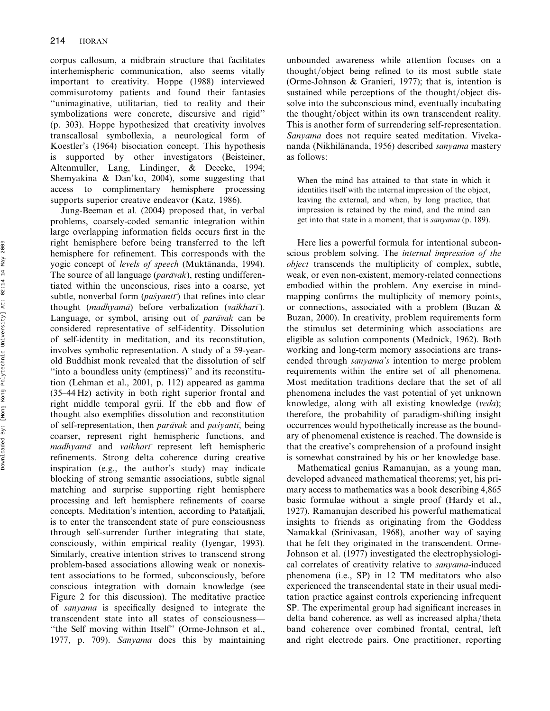corpus callosum, a midbrain structure that facilitates interhemispheric communication, also seems vitally important to creativity. Hoppe (1988) interviewed commisurotomy patients and found their fantasies ''unimaginative, utilitarian, tied to reality and their symbolizations were concrete, discursive and rigid'' (p. 303). Hoppe hypothesized that creativity involves transcallosal symbollexia, a neurological form of Koestler's (1964) bisociation concept. This hypothesis is supported by other investigators (Beisteiner, Altenmuller, Lang, Lindinger, & Deecke, 1994; Shemyakina & Dan'ko, 2004), some suggesting that access to complimentary hemisphere processing supports superior creative endeavor (Katz, 1986).

Jung-Beeman et al. (2004) proposed that, in verbal problems, coarsely-coded semantic integration within large overlapping information fields occurs first in the right hemisphere before being transferred to the left hemisphere for refinement. This corresponds with the yogic concept of *levels of speech* (Muktānanda, 1994). The source of all language ( $parāvak$ ), resting undifferentiated within the unconscious, rises into a coarse, yet subtle, nonverbal form  $(\textit{pas}lyant\bar{\tau})$  that refines into clear thought (madhyama) before verbalization (vaikhari). Language, or symbol, arising out of *paravak* can be considered representative of self-identity. Dissolution of self-identity in meditation, and its reconstitution, involves symbolic representation. A study of a 59-yearold Buddhist monk revealed that the dissolution of self ''into a boundless unity (emptiness)'' and its reconstitution (Lehman et al., 2001, p. 112) appeared as gamma (35–44 Hz) activity in both right superior frontal and right middle temporal gyrii. If the ebb and flow of thought also exemplifies dissolution and reconstitution of self-representation, then *paravak* and *pas<sup>yant</sup>*, being coarser, represent right hemispheric functions, and  $m$ adhyam $\bar{a}$  and vaikhar $\bar{a}$  represent left hemispheric refinements. Strong delta coherence during creative inspiration (e.g., the author's study) may indicate blocking of strong semantic associations, subtle signal matching and surprise supporting right hemisphere processing and left hemisphere refinements of coarse concepts. Meditation's intention, according to Patañjali, is to enter the transcendent state of pure consciousness through self-surrender further integrating that state, consciously, within empirical reality (Iyengar, 1993). Similarly, creative intention strives to transcend strong problem-based associations allowing weak or nonexistent associations to be formed, subconsciously, before conscious integration with domain knowledge (see Figure 2 for this discussion). The meditative practice of sanyama is specifically designed to integrate the transcendent state into all states of consciousness— ''the Self moving within Itself'' (Orme-Johnson et al., 1977, p. 709). Sanyama does this by maintaining

unbounded awareness while attention focuses on a thought/object being refined to its most subtle state (Orme-Johnson & Granieri, 1977); that is, intention is sustained while perceptions of the thought/object dissolve into the subconscious mind, eventually incubating the thought/object within its own transcendent reality. This is another form of surrendering self-representation. Sanyama does not require seated meditation. Vivekananda (Nikhilānanda, 1956) described sanyama mastery as follows:

When the mind has attained to that state in which it identifies itself with the internal impression of the object, leaving the external, and when, by long practice, that impression is retained by the mind, and the mind can get into that state in a moment, that is sanyama (p. 189).

Here lies a powerful formula for intentional subconscious problem solving. The internal impression of the object transcends the multiplicity of complex, subtle, weak, or even non-existent, memory-related connections embodied within the problem. Any exercise in mindmapping confirms the multiplicity of memory points, or connections, associated with a problem (Buzan & Buzan, 2000). In creativity, problem requirements form the stimulus set determining which associations are eligible as solution components (Mednick, 1962). Both working and long-term memory associations are transcended through sanyama's intention to merge problem requirements within the entire set of all phenomena. Most meditation traditions declare that the set of all phenomena includes the vast potential of yet unknown knowledge, along with all existing knowledge (veda); therefore, the probability of paradigm-shifting insight occurrences would hypothetically increase as the boundary of phenomenal existence is reached. The downside is that the creative's comprehension of a profound insight is somewhat constrained by his or her knowledge base.

Mathematical genius Ramanujan, as a young man, developed advanced mathematical theorems; yet, his primary access to mathematics was a book describing 4,865 basic formulae without a single proof (Hardy et al., 1927). Ramanujan described his powerful mathematical insights to friends as originating from the Goddess Namakkal (Srinivasan, 1968), another way of saying that he felt they originated in the transcendent. Orme-Johnson et al. (1977) investigated the electrophysiological correlates of creativity relative to sanyama-induced phenomena (i.e., SP) in 12 TM meditators who also experienced the transcendental state in their usual meditation practice against controls experiencing infrequent SP. The experimental group had significant increases in delta band coherence, as well as increased alpha/theta band coherence over combined frontal, central, left and right electrode pairs. One practitioner, reporting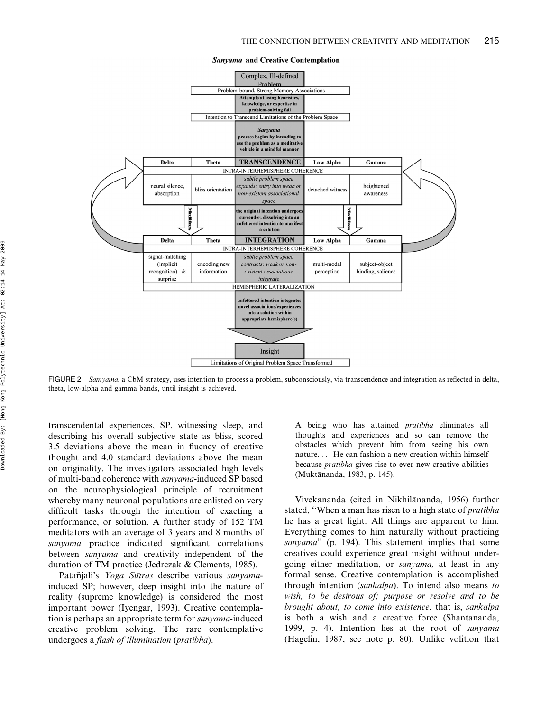

Sanyama and Creative Contemplation

FIGURE 2 Samyama, a CbM strategy, uses intention to process a problem, subconsciously, via transcendence and integration as reflected in delta, theta, low-alpha and gamma bands, until insight is achieved.

transcendental experiences, SP, witnessing sleep, and describing his overall subjective state as bliss, scored 3.5 deviations above the mean in fluency of creative thought and 4.0 standard deviations above the mean on originality. The investigators associated high levels of multi-band coherence with sanyama-induced SP based on the neurophysiological principle of recruitment whereby many neuronal populations are enlisted on very difficult tasks through the intention of exacting a performance, or solution. A further study of 152 TM meditators with an average of 3 years and 8 months of sanyama practice indicated significant correlations between sanyama and creativity independent of the duration of TM practice (Jedrczak & Clements, 1985).

Patañjali's Yoga Sūtras describe various sanyamainduced SP; however, deep insight into the nature of reality (supreme knowledge) is considered the most important power (Iyengar, 1993). Creative contemplation is perhaps an appropriate term for sanyama-induced creative problem solving. The rare contemplative undergoes a flash of illumination (pratibha).

A being who has attained pratibha eliminates all thoughts and experiences and so can remove the obstacles which prevent him from seeing his own nature. ... He can fashion a new creation within himself because pratibha gives rise to ever-new creative abilities (Muktānanda, 1983, p. 145).

Vivekananda (cited in Nikhilānanda, 1956) further stated, ''When a man has risen to a high state of pratibha he has a great light. All things are apparent to him. Everything comes to him naturally without practicing sanyama" (p. 194). This statement implies that some creatives could experience great insight without undergoing either meditation, or sanyama, at least in any formal sense. Creative contemplation is accomplished through intention (sankalpa). To intend also means to wish, to be desirous of; purpose or resolve and to be brought about, to come into existence, that is, sankalpa is both a wish and a creative force (Shantananda, 1999, p. 4). Intention lies at the root of sanyama (Hagelin, 1987, see note p. 80). Unlike volition that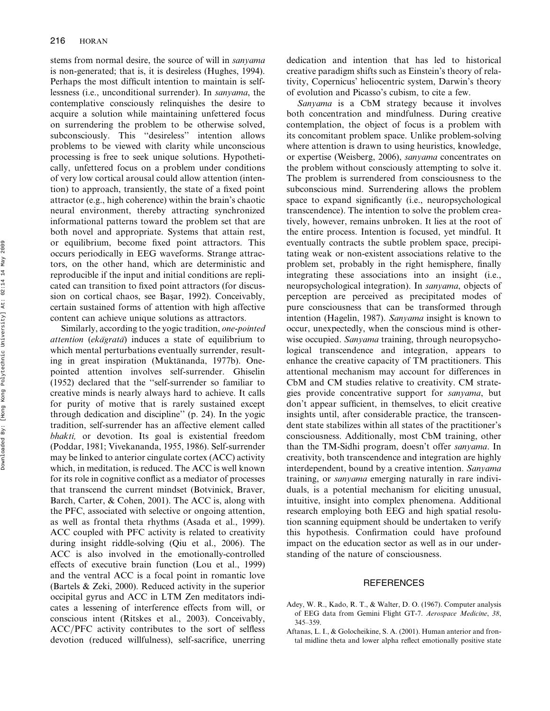stems from normal desire, the source of will in sanyama is non-generated; that is, it is desireless (Hughes, 1994). Perhaps the most difficult intention to maintain is selflessness (i.e., unconditional surrender). In sanyama, the contemplative consciously relinquishes the desire to acquire a solution while maintaining unfettered focus on surrendering the problem to be otherwise solved, subconsciously. This ''desireless'' intention allows problems to be viewed with clarity while unconscious processing is free to seek unique solutions. Hypothetically, unfettered focus on a problem under conditions of very low cortical arousal could allow attention (intention) to approach, transiently, the state of a fixed point attractor (e.g., high coherence) within the brain's chaotic neural environment, thereby attracting synchronized informational patterns toward the problem set that are both novel and appropriate. Systems that attain rest, or equilibrium, become fixed point attractors. This occurs periodically in EEG waveforms. Strange attractors, on the other hand, which are deterministic and reproducible if the input and initial conditions are replicated can transition to fixed point attractors (for discussion on cortical chaos, see Başar, 1992). Conceivably, certain sustained forms of attention with high affective content can achieve unique solutions as attractors.

Similarly, according to the yogic tradition, one-pointed attention (ekagrata) induces a state of equilibrium to which mental perturbations eventually surrender, resulting in great inspiration (Muktānanda, 1977b). Onepointed attention involves self-surrender. Ghiselin (1952) declared that the ''self-surrender so familiar to creative minds is nearly always hard to achieve. It calls for purity of motive that is rarely sustained except through dedication and discipline'' (p. 24). In the yogic tradition, self-surrender has an affective element called bhakti, or devotion. Its goal is existential freedom (Poddar, 1981; Vivekananda, 1955, 1986). Self-surrender may be linked to anterior cingulate cortex (ACC) activity which, in meditation, is reduced. The ACC is well known for its role in cognitive conflict as a mediator of processes that transcend the current mindset (Botvinick, Braver, Barch, Carter, & Cohen, 2001). The ACC is, along with the PFC, associated with selective or ongoing attention, as well as frontal theta rhythms (Asada et al., 1999). ACC coupled with PFC activity is related to creativity during insight riddle-solving (Qiu et al., 2006). The ACC is also involved in the emotionally-controlled effects of executive brain function (Lou et al., 1999) and the ventral ACC is a focal point in romantic love (Bartels & Zeki, 2000). Reduced activity in the superior occipital gyrus and ACC in LTM Zen meditators indicates a lessening of interference effects from will, or conscious intent (Ritskes et al., 2003). Conceivably, ACC/PFC activity contributes to the sort of selfless devotion (reduced willfulness), self-sacrifice, unerring dedication and intention that has led to historical creative paradigm shifts such as Einstein's theory of relativity, Copernicus' heliocentric system, Darwin's theory of evolution and Picasso's cubism, to cite a few.

Sanyama is a CbM strategy because it involves both concentration and mindfulness. During creative contemplation, the object of focus is a problem with its concomitant problem space. Unlike problem-solving where attention is drawn to using heuristics, knowledge, or expertise (Weisberg, 2006), sanyama concentrates on the problem without consciously attempting to solve it. The problem is surrendered from consciousness to the subconscious mind. Surrendering allows the problem space to expand significantly (i.e., neuropsychological transcendence). The intention to solve the problem creatively, however, remains unbroken. It lies at the root of the entire process. Intention is focused, yet mindful. It eventually contracts the subtle problem space, precipitating weak or non-existent associations relative to the problem set, probably in the right hemisphere, finally integrating these associations into an insight (i.e., neuropsychological integration). In sanyama, objects of perception are perceived as precipitated modes of pure consciousness that can be transformed through intention (Hagelin, 1987). Sanyama insight is known to occur, unexpectedly, when the conscious mind is otherwise occupied. Sanyama training, through neuropsychological transcendence and integration, appears to enhance the creative capacity of TM practitioners. This attentional mechanism may account for differences in CbM and CM studies relative to creativity. CM strategies provide concentrative support for sanyama, but don't appear sufficient, in themselves, to elicit creative insights until, after considerable practice, the transcendent state stabilizes within all states of the practitioner's consciousness. Additionally, most CbM training, other than the TM-Sidhi program, doesn't offer sanyama. In creativity, both transcendence and integration are highly interdependent, bound by a creative intention. Sanyama training, or sanyama emerging naturally in rare individuals, is a potential mechanism for eliciting unusual, intuitive, insight into complex phenomena. Additional research employing both EEG and high spatial resolution scanning equipment should be undertaken to verify this hypothesis. Confirmation could have profound impact on the education sector as well as in our understanding of the nature of consciousness.

#### **REFERENCES**

- Adey, W. R., Kado, R. T., & Walter, D. O. (1967). Computer analysis of EEG data from Gemini Flight GT-7. Aerospace Medicine, 38, 345–359.
- Aftanas, L. I., & Golocheikine, S. A. (2001). Human anterior and frontal midline theta and lower alpha reflect emotionally positive state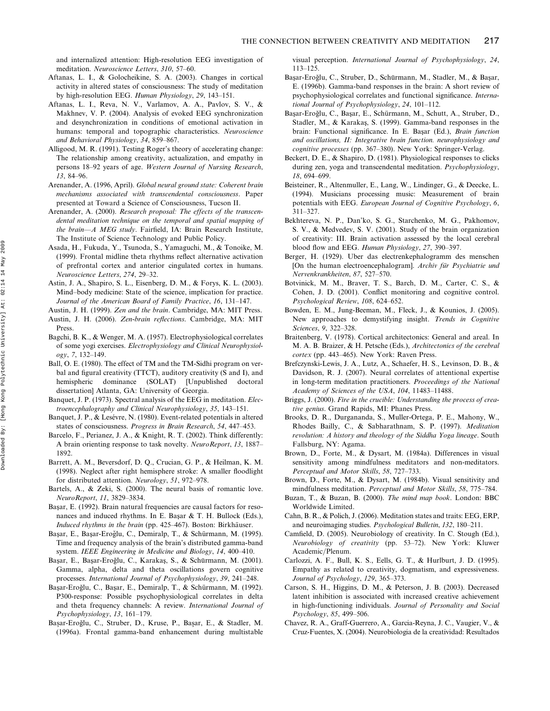and internalized attention: High-resolution EEG investigation of meditation. Neuroscience Letters, 310, 57–60.

- Aftanas, L. I., & Golocheikine, S. A. (2003). Changes in cortical activity in altered states of consciousness: The study of meditation by high-resolution EEG. Human Physiology, 29, 143–151.
- Aftanas, L. I., Reva, N. V., Varlamov, A. A., Pavlov, S. V., & Makhnev, V. P. (2004). Analysis of evoked EEG synchronization and desynchronization in conditions of emotional activation in humans: temporal and topographic characteristics. Neuroscience and Behavioral Physiology, 34, 859–867.
- Alligood, M. R. (1991). Testing Roger's theory of accelerating change: The relationship among creativity, actualization, and empathy in persons 18–92 years of age. Western Journal of Nursing Research, 13, 84–96.
- Arenander, A. (1996, April). Global neural ground state: Coherent brain mechanisms associated with transcendental consciousness. Paper presented at Toward a Science of Consciousness, Tucson II.
- Arenander, A. (2000). Research proposal: The effects of the transcendental meditation technique on the temporal and spatial mapping of the brain-A MEG study. Fairfield, IA: Brain Research Institute, The Institute of Science Technology and Public Policy.
- Asada, H., Fukuda, Y., Tsunoda, S., Yamaguchi, M., & Tonoike, M. (1999). Frontal midline theta rhythms reflect alternative activation of prefrontal cortex and anterior cingulated cortex in humans. Neuroscience Letters, 274, 29–32.
- Astin, J. A., Shapiro, S. L., Eisenberg, D. M., & Forys, K. L. (2003). Mind–body medicine: State of the science, implication for practice. Journal of the American Board of Family Practice, 16, 131–147.
- Austin, J. H. (1999). Zen and the brain. Cambridge, MA: MIT Press.
- Austin, J. H. (2006). Zen-brain reflections. Cambridge, MA: MIT Press.
- Bagchi, B. K., & Wenger, M. A. (1957). Electrophysiological correlates of some yogi exercises. Electrophysiology and Clinical Neurophysiol $ogy, 7, 132-149.$
- Ball, O. E. (1980). The effect of TM and the TM-Sidhi program on verbal and figural creativity (TTCT), auditory creativity (S and I), and hemispheric dominance (SOLAT) [Unpublished doctoral dissertation] Atlanta, GA: University of Georgia.
- Banquet, J. P. (1973). Spectral analysis of the EEG in meditation. Electroencephalography and Clinical Neurophysiology, 35, 143–151.
- Banquet, J. P., & Lesévre, N. (1980). Event-related potentials in altered states of consciousness. Progress in Brain Research, 54, 447–453.
- Barcelo, F., Perianez, J. A., & Knight, R. T. (2002). Think differently: A brain orienting response to task novelty. NeuroReport, 13, 1887– 1892.
- Barrett, A. M., Beversdorf, D. Q., Crucian, G. P., & Heilman, K. M. (1998). Neglect after right hemisphere stroke: A smaller floodlight for distributed attention. Neurology, 51, 972–978.
- Bartels, A., & Zeki, S. (2000). The neural basis of romantic love. NeuroReport, 11, 3829–3834.
- Başar, E. (1992). Brain natural frequencies are causal factors for resonances and induced rhythms. In E. Başar  $&$  T. H. Bullock (Eds.), Induced rhythms in the brain (pp. 425-467). Boston: Birkhäuser.
- Başar, E., Başar-Eroğlu, C., Demiralp, T., & Schürmann, M. (1995). Time and frequency analysis of the brain's distributed gamma-band system. IEEE Engineering in Medicine and Biology, 14, 400-410.
- Başar, E., Başar-Eroğlu, C., Karakaş, S., & Schürmann, M. (2001). Gamma, alpha, delta and theta oscillations govern cognitive processes. International Journal of Psychophysiology, 39, 241–248.
- Başar-Eroğlu, C., Başar, E., Demiralp, T., & Schürmann, M. (1992). P300-response: Possible psychophysiological correlates in delta and theta frequency channels: A review. International Journal of Psychophysiology, 13, 161–179.
- Başar-Eroğlu, C., Struber, D., Kruse, P., Başar, E., & Stadler, M. (1996a). Frontal gamma-band enhancement during multistable

visual perception. International Journal of Psychophysiology, 24, 113–125.

- Başar-Eroğlu, C., Struber, D., Schürmann, M., Stadler, M., & Başar, E. (1996b). Gamma-band responses in the brain: A short review of psychophysiological correlates and functional significance. International Journal of Psychophysiology, 24, 101–112.
- Başar-Eroğlu, C., Başar, E., Schürmann, M., Schutt, A., Struber, D., Stadler, M., & Karakaş, S. (1999). Gamma-band responses in the brain: Functional significance. In E. Başar (Ed.), Brain function and oscillations, II: Integrative brain function. neurophysiology and cognitive processes (pp. 367–380). New York: Springer-Verlag.
- Beckert, D. E., & Shapiro, D. (1981). Physiological responses to clicks during zen, yoga and transcendental meditation. Psychophysiology, 18, 694–699.
- Beisteiner, R., Altenmuller, E., Lang, W., Lindinger, G., & Deecke, L. (1994). Musicians processing music: Measurement of brain potentials with EEG. European Journal of Cognitive Psychology, 6, 311–327.
- Bekhtereva, N. P., Dan'ko, S. G., Starchenko, M. G., Pakhomov, S. V., & Medvedev, S. V. (2001). Study of the brain organization of creativity: III. Brain activation assessed by the local cerebral blood flow and EEG. Human Physiology, 27, 390–397.
- Berger, H. (1929). Uber das electrenkephalogramm des menschen [On the human electroencephalogram]. Archiv für Psychiatrie und Nervenkrankheiten, 87, 527–570.
- Botvinick, M. M., Braver, T. S., Barch, D. M., Carter, C. S., & Cohen, J. D. (2001). Conflict monitoring and cognitive control. Psychological Review, 108, 624–652.
- Bowden, E. M., Jung-Beeman, M., Fleck, J., & Kounios, J. (2005). New approaches to demystifying insight. Trends in Cognitive Sciences, 9, 322–328.
- Braitenberg, V. (1978). Cortical architectonics: General and areal. In M. A. B. Braizer, & H. Petsche (Eds.), Architectonics of the cerebral cortex (pp. 443-465). New York: Raven Press.
- Brefczynski-Lewis, J. A., Lutz, A., Schaefer, H. S., Levinson, D. B., & Davidson, R. J. (2007). Neural correlates of attentional expertise in long-term meditation practitioners. Proceedings of the National Academy of Sciences of the USA, 104, 11483–11488.
- Briggs, J. (2000). Fire in the crucible: Understanding the process of creative genius. Grand Rapids, MI: Phanes Press.
- Brooks, D. R., Durgananda, S., Muller-Ortega, P. E., Mahony, W., Rhodes Bailly, C., & Sabharathnam, S. P. (1997). Meditation revolution: A history and theology of the Siddha Yoga lineage. South Fallsburg, NY: Agama.
- Brown, D., Forte, M., & Dysart, M. (1984a). Differences in visual sensitivity among mindfulness meditators and non-meditators. Perceptual and Motor Skills, 58, 727–733.
- Brown, D., Forte, M., & Dysart, M. (1984b). Visual sensitivity and mindfulness meditation. Perceptual and Motor Skills, 58, 775–784.
- Buzan, T., & Buzan, B. (2000). The mind map book. London: BBC Worldwide Limited.
- Cahn, B. R., & Polich, J. (2006). Meditation states and traits: EEG, ERP, and neuroimaging studies. Psychological Bulletin, 132, 180–211.
- Camfield, D. (2005). Neurobiology of creativity. In C. Stough (Ed.), Neurobiology of creativity (pp. 53–72). New York: Kluwer Academic/Plenum.
- Carlozzi, A. F., Bull, K. S., Eells, G. T., & Hurlburt, J. D. (1995). Empathy as related to creativity, dogmatism, and expressiveness. Journal of Psychology, 129, 365–373.
- Carson, S. H., Higgins, D. M., & Peterson, J. B. (2003). Decreased latent inhibition is associated with increased creative achievement in high-functioning individuals. Journal of Personality and Social Psychology, 85, 499–506.
- Chavez, R. A., Graff-Guerrero, A., Garcia-Reyna, J. C., Vaugier, V., & Cruz-Fuentes, X. (2004). Neurobiologia de la creatividad: Resultados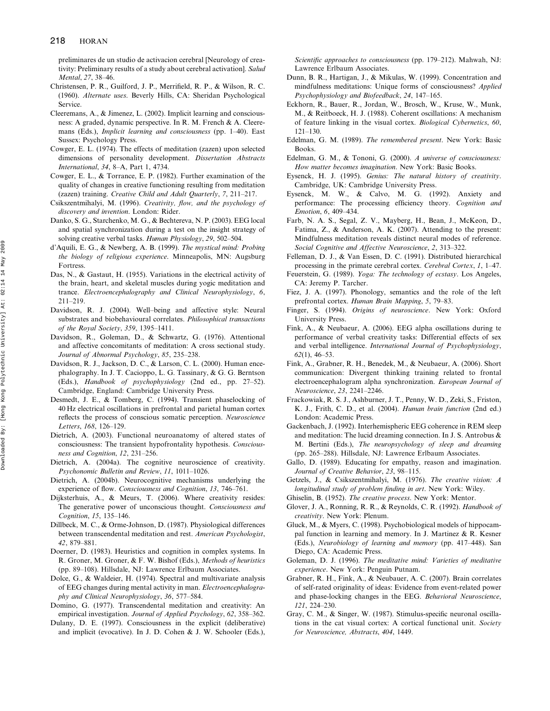preliminares de un studio de activacion cerebral [Neurology of creativity: Preliminary results of a study about cerebral activation]. Salud Mental, 27, 38–46.

- Christensen, P. R., Guilford, J. P., Merrifield, R. P., & Wilson, R. C. (1960). Alternate uses. Beverly Hills, CA: Sheridan Psychological Service.
- Cleeremans, A., & Jimenez, L. (2002). Implicit learning and consciousness: A graded, dynamic perspective. In R. M. French & A. Cleeremans (Eds.), Implicit learning and consciousness (pp. 1–40). East Sussex: Psychology Press.
- Cowger, E. L. (1974). The effects of meditation (zazen) upon selected dimensions of personality development. Dissertation Abstracts International, 34, 8–A, Part 1, 4734.
- Cowger, E. L., & Torrance, E. P. (1982). Further examination of the quality of changes in creative functioning resulting from meditation (zazen) training. Creative Child and Adult Quarterly, 7, 211–217.
- Csikszentmihalyi, M. (1996). Creativity, flow, and the psychology of discovery and invention. London: Rider.
- Danko, S. G., Starchenko, M. G., & Bechtereva, N. P. (2003). EEG local and spatial synchronization during a test on the insight strategy of solving creative verbal tasks. Human Physiology, 29, 502-504.
- d'Aquili, E. G., & Newberg, A. B. (1999). The mystical mind: Probing the biology of religious experience. Minneapolis, MN: Augsburg **Fortress**
- Das, N., & Gastaut, H. (1955). Variations in the electrical activity of the brain, heart, and skeletal muscles during yogic meditation and trance. Electroencephalography and Clinical Neurophysiology, 6, 211–219.
- Davidson, R. J. (2004). Well–being and affective style: Neural substrates and biobehavioural correlates. Philosophical transactions of the Royal Society, 359, 1395–1411.
- Davidson, R., Goleman, D., & Schwartz, G. (1976). Attentional and affective concomitants of meditation: A cross sectional study. Journal of Abnormal Psychology, 85, 235–238.
- Davidson, R. J., Jackson, D. C., & Larson, C. L. (2000). Human encephalography. In J. T. Cacioppo, L. G. Tassinary, & G. G. Berntson (Eds.), Handbook of psychophysiology (2nd ed., pp. 27–52). Cambridge, England: Cambridge University Press.
- Desmedt, J. E., & Tomberg, C. (1994). Transient phaselocking of 40 Hz electrical oscillations in prefrontal and parietal human cortex reflects the process of conscious somatic perception. Neuroscience Letters, 168, 126–129.
- Dietrich, A. (2003). Functional neuroanatomy of altered states of consciousness: The transient hypofrontality hypothesis. Consciousness and Cognition, 12, 231–256.
- Dietrich, A. (2004a). The cognitive neuroscience of creativity. Psychonomic Bulletin and Review, 11, 1011–1026.
- Dietrich, A. (2004b). Neurocognitive mechanisms underlying the experience of flow. Consciousness and Cognition, 13, 746–761.
- Dijksterhuis, A., & Meurs, T. (2006). Where creativity resides: The generative power of unconscious thought. Consciousness and Cognition, 15, 135–146.
- Dillbeck, M. C., & Orme-Johnson, D. (1987). Physiological differences between transcendental meditation and rest. American Psychologist, 42, 879–881.
- Doerner, D. (1983). Heuristics and cognition in complex systems. In R. Groner, M. Groner, & F. W. Bishof (Eds.), Methods of heuristics (pp. 89–108). Hillsdale, NJ: Lawrence Erlbaum Associates.
- Dolce, G., & Waldeier, H. (1974). Spectral and multivariate analysis of EEG changes during mental activity in man. Electroencephalography and Clinical Neurophysiology, 36, 577–584.
- Domino, G. (1977). Transcendental meditation and creativity: An empirical investigation. Journal of Applied Psychology, 62, 358–362.
- Dulany, D. E. (1997). Consciousness in the explicit (deliberative) and implicit (evocative). In J. D. Cohen & J. W. Schooler (Eds.),

Scientific approaches to consciousness (pp. 179–212). Mahwah, NJ: Lawrence Erlbaum Associates.

- Dunn, B. R., Hartigan, J., & Mikulas, W. (1999). Concentration and mindfulness meditations: Unique forms of consciousness? Applied Psychophysiology and Biofeedback, 24, 147–165.
- Eckhorn, R., Bauer, R., Jordan, W., Brosch, W., Kruse, W., Munk, M., & Reitboeck, H. J. (1988). Coherent oscillations: A mechanism of feature linking in the visual cortex. Biological Cybernetics, 60, 121–130.
- Edelman, G. M. (1989). The remembered present. New York: Basic Books.
- Edelman, G. M., & Tononi, G. (2000). A universe of consciousness: How matter becomes imagination. New York: Basic Books.
- Eysenck, H. J. (1995). Genius: The natural history of creativity. Cambridge, UK: Cambridge University Press.
- Eysenck, M. W., & Calvo, M. G. (1992). Anxiety and performance: The processing efficiency theory. Cognition and Emotion, 6, 409–434.
- Farb, N. A. S., Segal, Z. V., Mayberg, H., Bean, J., McKeon, D., Fatima, Z., & Anderson, A. K. (2007). Attending to the present: Mindfulness meditation reveals distinct neural modes of reference. Social Cognitive and Affective Neuroscience, 2, 313–322.
- Felleman, D. J., & Van Essen, D. C. (1991). Distributed hierarchical processing in the primate cerebral cortex. Cerebral Cortex, 1, 1–47.
- Feuerstein, G. (1989). Yoga: The technology of ecstasy. Los Angeles, CA: Jeremy P. Tarcher.
- Fiez, J. A. (1997). Phonology, semantics and the role of the left prefrontal cortex. Human Brain Mapping, 5, 79–83.
- Finger, S. (1994). Origins of neuroscience. New York: Oxford University Press.
- Fink, A., & Neubaeur, A. (2006). EEG alpha oscillations during te performance of verbal creativity tasks: Differential effects of sex and verbal intelligence. International Journal of Psychophysiology, 62(1), 46–53.
- Fink, A., Grabner, R. H., Benedek, M., & Neubaeur, A. (2006). Short communication: Divergent thinking training related to frontal electroencephalogram alpha synchronization. European Journal of Neuroscience, 23, 2241–2246.
- Frackowiak, R. S. J., Ashburner, J. T., Penny, W. D., Zeki, S., Friston, K. J., Frith, C. D., et al. (2004). Human brain function (2nd ed.) London: Academic Press.
- Gackenbach, J. (1992). Interhemispheric EEG coherence in REM sleep and meditation: The lucid dreaming connection. In J. S. Antrobus & M. Bertini (Eds.), The neuropsychology of sleep and dreaming (pp. 265–288). Hillsdale, NJ: Lawrence Erlbaum Associates.
- Gallo, D. (1989). Educating for empathy, reason and imagination. Journal of Creative Behavior, 23, 98–115.
- Getzels, J., & Csikszentmihalyi, M. (1976). The creative vision: A longitudinal study of problem finding in art. New York: Wiley.
- Ghiselin, B. (1952). The creative process. New York: Mentor.
- Glover, J. A., Ronning, R. R., & Reynolds, C. R. (1992). Handbook of creativity. New York: Plenum.
- Gluck, M., & Myers, C. (1998). Psychobiological models of hippocampal function in learning and memory. In J. Martinez & R. Kesner (Eds.), Neurobiology of learning and memory (pp. 417–448). San Diego, CA: Academic Press.
- Goleman, D. J. (1996). The meditative mind: Varieties of meditative experience. New York: Penguin Putnam.
- Grabner, R. H., Fink, A., & Neubauer, A. C. (2007). Brain correlates of self-rated originality of ideas: Evidence from event-related power and phase-locking changes in the EEG. Behavioral Neuroscience, 121, 224–230.
- Gray, C. M., & Singer, W. (1987). Stimulus-specific neuronal oscillations in the cat visual cortex: A cortical functional unit. Society for Neuroscience, Abstracts, 404, 1449.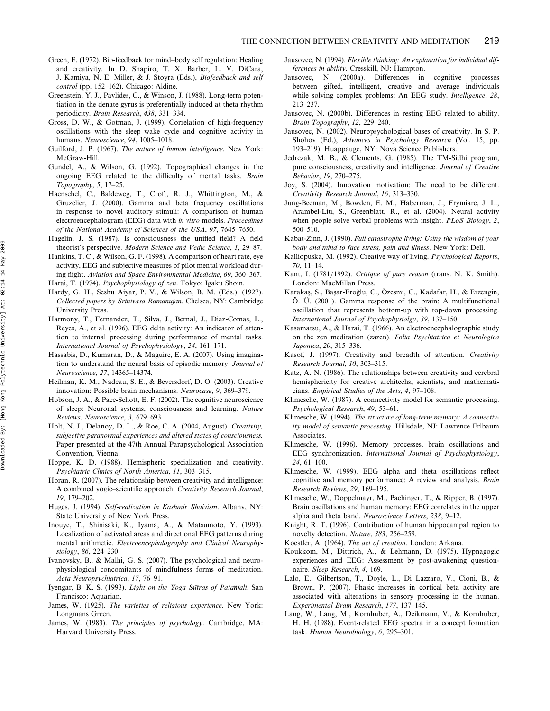- Green, E. (1972). Bio-feedback for mind–body self regulation: Healing and creativity. In D. Shapiro, T. X. Barber, L. V. DiCara, J. Kamiya, N. E. Miller, & J. Stoyra (Eds.), Biofeedback and self control (pp. 152–162). Chicago: Aldine.
- Greenstein, Y. J., Pavlides, C., & Winson, J. (1988). Long-term potentiation in the denate gyrus is preferentially induced at theta rhythm periodicity. Brain Research, 438, 331–334.
- Gross, D. W., & Gotman, J. (1999). Correlation of high-frequency oscillations with the sleep–wake cycle and cognitive activity in humans. Neuroscience, 94, 1005–1018.
- Guilford, J. P. (1967). The nature of human intelligence. New York: McGraw-Hill.
- Gundel, A., & Wilson, G. (1992). Topographical changes in the ongoing EEG related to the difficulty of mental tasks. Brain Topography, 5, 17–25.
- Haenschel, C., Baldeweg, T., Croft, R. J., Whittington, M., & Gruzelier, J. (2000). Gamma and beta frequency oscillations in response to novel auditory stimuli: A comparison of human electroencephalogram (EEG) data with in vitro models. Proceedings of the National Academy of Sciences of the USA, 97, 7645–7650.
- Hagelin, J. S. (1987). Is consciousness the unified field? A field theorist's perspective. Modern Science and Vedic Science, 1, 29–87.
- Hankins, T. C., & Wilson, G. F. (1998). A comparison of heart rate, eye activity, EEG and subjective measures of pilot mental workload during flight. Aviation and Space Environmental Medicine, 69, 360–367. Harai, T. (1974). Psychophysiology of zen. Tokyo: Igaku Shoin.
- Hardy, G. H., Seshu Aiyar, P. V., & Wilson, B. M. (Eds.). (1927). Collected papers by Srinivasa Ramanujan. Chelsea, NY: Cambridge University Press.
- Harmony, T., Fernandez, T., Silva, J., Bernal, J., Diaz-Comas, L., Reyes, A., et al. (1996). EEG delta activity: An indicator of attention to internal processing during performance of mental tasks. International Journal of Psychophysiology, 24, 161–171.
- Hassabis, D., Kumaran, D., & Maguire, E. A. (2007). Using imagination to understand the neural basis of episodic memory. Journal of Neuroscience, 27, 14365–14374.
- Heilman, K. M., Nadeau, S. E., & Beversdorf, D. O. (2003). Creative innovation: Possible brain mechanisms. Neurocase, 9, 369–379.
- Hobson, J. A., & Pace-Schott, E. F. (2002). The cognitive neuroscience of sleep: Neuronal systems, consciousness and learning. Nature Reviews, Neuroscience, 3, 679–693.
- Holt, N. J., Delanoy, D. L., & Roe, C. A. (2004, August). Creativity, subjective paranormal experiences and altered states of consciousness. Paper presented at the 47th Annual Parapsychological Association Convention, Vienna.
- Hoppe, K. D. (1988). Hemispheric specialization and creativity. Psychiatric Clinics of North America, 11, 303–315.
- Horan, R. (2007). The relationship between creativity and intelligence: A combined yogic–scientific approach. Creativity Research Journal, 19, 179–202.
- Huges, J. (1994). Self-realization in Kashmir Shaivism. Albany, NY: State University of New York Press.
- Inouye, T., Shinisaki, K., Iyama, A., & Matsumoto, Y. (1993). Localization of activated areas and directional EEG patterns during mental arithmetic. Electroencephalography and Clinical Neurophysiology, 86, 224–230.
- Ivanovsky, B., & Malhi, G. S. (2007). The psychological and neurophysiological concomitants of mindfulness forms of meditation. Acta Neuropsychiatrica, 17, 76–91.
- Iyengar, B. K. S. (1993). Light on the Yoga Sutras of Patañjali. San Francisco: Aquarian.
- James, W. (1925). The varieties of religious experience. New York: Longmans Green.
- James, W. (1983). The principles of psychology. Cambridge, MA: Harvard University Press.
- Jausovec, N. (1994). Flexible thinking: An explanation for individual differences in ability. Cresskill, NJ: Hampton.
- Jausovec, N. (2000a). Differences in cognitive processes between gifted, intelligent, creative and average individuals while solving complex problems: An EEG study. Intelligence, 28, 213–237.
- Jausovec, N. (2000b). Differences in resting EEG related to ability. Brain Topography, 12, 229–240.
- Jausovec, N. (2002). Neuropsychological bases of creativity. In S. P. Shohov (Ed.), Advances in Psychology Research (Vol. 15, pp. 193–219). Huappauge, NY: Nova Science Publishers.
- Jedrczak, M. B., & Clements, G. (1985). The TM-Sidhi program, pure consciousness, creativity and intelligence. Journal of Creative Behavior, 19, 270–275.
- Joy, S. (2004). Innovation motivation: The need to be different. Creativity Research Journal, 16, 313–330.
- Jung-Beeman, M., Bowden, E. M., Haberman, J., Frymiare, J. L., Arambel-Liu, S., Greenblatt, R., et al. (2004). Neural activity when people solve verbal problems with insight. PLoS Biology, 2, 500–510.
- Kabat-Zinn, J. (1990). Full catastrophe living: Using the wisdom of your body and mind to face stress, pain and illness. New York: Dell.
- Kalliopuska, M. (1992). Creative way of living. Psychological Reports, 70, 11–14.
- Kant, I. (1781/1992). Critique of pure reason (trans. N. K. Smith). London: MacMillan Press.
- Karakaş, S., Başar-Eroğlu, C., Özesmi, C., Kadafar, H., & Erzengin,  $\ddot{O}$ .  $\ddot{U}$ . (2001). Gamma response of the brain: A multifunctional oscillation that represents bottom-up with top-down processing. International Journal of Psychophysiolgy, 39, 137–150.
- Kasamatsu, A., & Harai, T. (1966). An electroencephalographic study on the zen meditation (zazen). Folia Psychiatrica et Neurologica Japonica, 20, 315–336.
- Kasof, J. (1997). Creativity and breadth of attention. Creativity Research Journal, 10, 303–315.
- Katz, A. N. (1986). The relationships between creativity and cerebral hemisphericity for creative architechs, scientists, and mathematicians. Empirical Studies of the Arts, 4, 97–108.
- Klimesche, W. (1987). A connectivity model for semantic processing. Psychological Research, 49, 53–61.
- Klimesche, W. (1994). The structure of long-term memory: A connectivity model of semantic processing. Hillsdale, NJ: Lawrence Erlbaum Associates.
- Klimesche, W. (1996). Memory processes, brain oscillations and EEG synchronization. International Journal of Psychophysiology, 24, 61–100.
- Klimesche, W. (1999). EEG alpha and theta oscillations reflect cognitive and memory performance: A review and analysis. Brain Research Reviews, 29, 169–195.
- Klimesche, W., Doppelmayr, M., Pachinger, T., & Ripper, B. (1997). Brain oscillations and human memory: EEG correlates in the upper alpha and theta band. Neuroscience Letters, 238, 9–12.
- Knight, R. T. (1996). Contribution of human hippocampal region to novelty detection. Nature, 383, 256–259.
- Koestler, A. (1964). The act of creation. London: Arkana.
- Koukkom, M., Dittrich, A., & Lehmann, D. (1975). Hypnagogic experiences and EEG: Assessment by post-awakening questionnaire. Sleep Research, 4, 169.
- Lalo, E., Gilbertson, T., Doyle, L., Di Lazzaro, V., Cioni, B., & Brown, P. (2007). Phasic increases in cortical beta activity are associated with alterations in sensory processing in the human. Experimental Brain Research, 177, 137–145.
- Lang, W., Lang, M., Kornhuber, A., Deikmann, V., & Kornhuber, H. H. (1988). Event-related EEG spectra in a concept formation task. Human Neurobiology, 6, 295–301.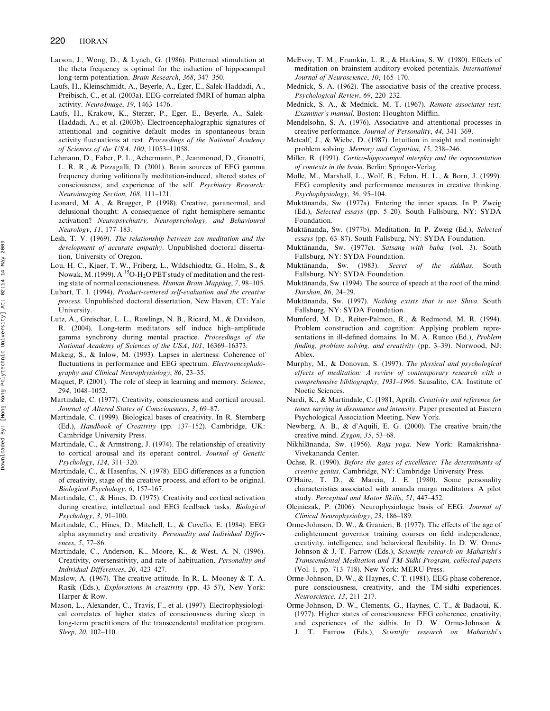- Larson, J., Wong, D., & Lynch, G. (1986). Patterned stimulation at the theta frequency is optimal for the induction of hippocampal long-term potentiation. Brain Research, 368, 347–350.
- Laufs, H., Kleinschmidt, A., Beyerle, A., Eger, E., Salek-Haddadi, A., Preibisch, C., et al. (2003a). EEG-correlated fMRI of human alpha activity. NeuroImage, 19, 1463–1476.
- Laufs, H., Krakow, K., Sterzer, P., Eger, E., Beyerle, A., Salek-Haddadi, A., et al. (2003b). Electroencephalographic signatures of attentional and cognitive default modes in spontaneous brain activity fluctuations at rest. Proceedings of the National Academy of Sciences of the USA, 100, 11053–11058.
- Lehmann, D., Faber, P. L., Achermann, P., Jeanmonod, D., Gianotti, L. R. R., & Pizzagalli, D. (2001). Brain sources of EEG gamma frequency during volitionally meditation-induced, altered states of consciousness, and experience of the self. Psychiatry Research: Neuroimaging Section, 108, 111–121.
- Leonard, M. A., & Brugger, P. (1998). Creative, paranormal, and delusional thought: A consequence of right hemisphere semantic activation? Neuropsychiatry, Neuropsychology, and Behavioural Neurology, 11, 177–183.
- Lesh, T. V. (1969). The relationship between zen meditation and the development of accurate empathy. Unpublished doctoral dissertation, University of Oregon.
- Lou, H. C., Kjaer, T. W., Friberg, L., Wildschiodtz, G., Holm, S., & Nowak, M. (1999). A <sup>15</sup>O-H<sub>2</sub>O PET study of meditation and the resting state of normal consciousness. Human Brain Mapping, 7, 98–105.
- Lubart, T. I. (1994). Product-centered self-evaluation and the creative process. Unpublished doctoral dissertation, New Haven, CT: Yale University.
- Lutz, A., Greischar, L. L., Rawlings, N. B., Ricard, M., & Davidson, R. (2004). Long-term meditators self induce high–amplitude gamma synchrony during mental practice. Proceedings of the National Academy of Sciences of the USA, 101, 16369–16373.
- Makeig, S., & Inlow, M. (1993). Lapses in alertness: Coherence of fluctuations in performance and EEG spectrum. Electroencephalography and Clinical Neurophysiology, 86, 23–35.
- Maquet, P. (2001). The role of sleep in learning and memory. Science, 294, 1048–1052.
- Martindale, C. (1977). Creativity, consciousness and cortical arousal. Journal of Altered States of Consciousness, 3, 69–87.
- Martindale, C. (1999). Biological bases of creativity. In R. Sternberg (Ed.), Handbook of Creativity (pp. 137-152). Cambridge, UK: Cambridge University Press.
- Martindale, C., & Armstrong, J. (1974). The relationship of creativity to cortical arousal and its operant control. Journal of Genetic Psychology, 124, 311–320.
- Martindale, C., & Hasenfus, N. (1978). EEG differences as a function of creativity, stage of the creative process, and effort to be original. Biological Psychology, 6, 157–167.
- Martindale, C., & Hines, D. (1975). Creativity and cortical activation during creative, intellectual and EEG feedback tasks. Biological Psychology, 3, 91–100.
- Martindale, C., Hines, D., Mitchell, L., & Covello, E. (1984). EEG alpha asymmetry and creativity. Personality and Individual Differences, 5, 77–86.
- Martindale, C., Anderson, K., Moore, K., & West, A. N. (1996). Creativity, oversensitivity, and rate of habituation. Personality and Individual Differences, 20, 423–427.
- Maslow, A. (1967). The creative attitude. In R. L. Mooney & T. A. Rasik (Eds.), Explorations in creativity (pp. 43–57), New York: Harper & Row.
- Mason, L., Alexander, C., Travis, F., et al. (1997). Electrophysiological correlates of higher states of consciousness during sleep in long-term practitioners of the transcendental meditation program. Sleep, 20, 102–110.
- McEvoy, T. M., Frumkin, L. R., & Harkins, S. W. (1980). Effects of meditation on brainstem auditory evoked potentials. International Journal of Neuroscience, 10, 165–170.
- Mednick, S. A. (1962). The associative basis of the creative process. Psychological Review, 69, 220–232.
- Mednick, S. A., & Mednick, M. T. (1967). Remote associates test: Examiner's manual. Boston: Houghton Mifflin.
- Mendelsohn, S. A. (1976). Associative and attentional processes in creative performance. Journal of Personality, 44, 341–369.
- Metcalf, J., & Wiebe, D. (1987). Intuition in insight and noninsight problem solving. Memory and Cognition, 15, 238–246.
- Miller, R. (1991). Cortico-hippocampal interplay and the representation of contexts in the brain. Berlin: Springer-Verlag.
- Molle, M., Marshall, L., Wolf, B., Fehm, H. L., & Born, J. (1999). EEG complexity and performance measures in creative thinking. Psychophysiology, 36, 95–104.
- Muktānanda, Sw. (1977a). Entering the inner spaces. In P. Zweig (Ed.), Selected essays (pp. 5–20). South Fallsburg, NY: SYDA Foundation.
- Muktānanda, Sw. (1977b). Meditation. In P. Zweig (Ed.), Selected essays (pp. 63–87). South Fallsburg, NY: SYDA Foundation.
- Muktānanda, Sw. (1977c). Satsang with baba (vol. 3). South Fallsburg, NY: SYDA Foundation.
- Muktānanda, Sw. (1983). Secret of the siddhas. South Fallsburg, NY: SYDA Foundation.
- Muktānanda, Sw. (1994). The source of speech at the root of the mind. Darshan, 86, 24–29.
- Muktānanda, Sw. (1997). Nothing exists that is not Shiva. South Fallsburg, NY: SYDA Foundation.
- Mumford, M. D., Reiter-Palmon, R., & Redmond, M. R. (1994). Problem construction and cognition: Applying problem representations in ill-defined domains. In M. A. Runco (Ed.), Problem finding, problem solving, and creativity (pp. 3-39). Norwood, NJ: Ablex.
- Murphy, M., & Donovan, S. (1997). The physical and psychological effects of meditation: A review of contemporary research with a comprehensive bibliography, 1931–1996. Sausalito, CA: Institute of Noetic Sciences.
- Nardi, K., & Martindale, C. (1981, April). Creativity and reference for tones varying in dissonance and intensity. Paper presented at Eastern Psychological Association Meeting, New York.
- Newberg, A. B., & d'Aquili, E. G.  $(2000)$ . The creative brain/the creative mind. Zygon, 35, 53–68.
- Nikhilānanda, Sw. (1956). Raja yoga. New York: Ramakrishna-Vivekananda Center.
- Ochse, R. (1990). Before the gates of excellence: The determinants of creative genius. Cambridge, NY: Cambridge University Press.
- O'Haire, T. D., & Marcia, J. E. (1980). Some personality characteristics associated with ananda marga meditators: A pilot study. Perceptual and Motor Skills, 51, 447-452.
- Olejniczak, P. (2006). Neurophysiologic basis of EEG. Journal of Clinical Neurophysiology, 23, 186–189.
- Orme-Johnson, D. W., & Granieri, B. (1977). The effects of the age of enlightenment governor training courses on field independence, creativity, intelligence, and behavioral flexibility. In D. W. Orme-Johnson & J. T. Farrow (Eds.), Scientific research on Maharishi's Transcendental Meditation and TM-Sidhi Program, collected papers (Vol. 1, pp. 713–718). New York: MERU Press.
- Orme-Johnson, D. W., & Haynes, C. T. (1981). EEG phase coherence, pure consciousness, creativity, and the TM-sidhi experiences. Neuroscience, 13, 211–217.
- Orme-Johnson, D. W., Clements, G., Haynes, C. T., & Badaoui, K. (1977). Higher states of consciousness: EEG coherence, creativity, and experiences of the sidhis. In D. W. Orme-Johnson & J. T. Farrow (Eds.), Scientific research on Maharishi's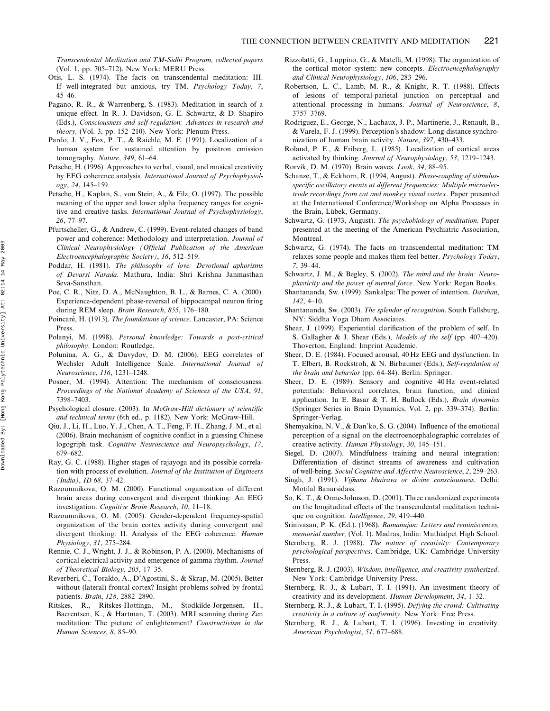Transcendental Meditation and TM-Sidhi Program, collected papers (Vol. 1, pp. 705–712). New York: MERU Press.

- Otis, L. S. (1974). The facts on transcendental meditation: III. If well-integrated but anxious, try TM. Psychology Today, 7, 45–46.
- Pagano, R. R., & Warrenberg, S. (1983). Meditation in search of a unique effect. In R. J. Davidson, G. E. Schwartz, & D. Shapiro (Eds.), Consciousness and self-regulation: Advances in research and theory, (Vol. 3, pp. 152–210). New York: Plenum Press.
- Pardo, J. V., Fox, P. T., & Raichle, M. E. (1991). Localization of a human system for sustained attention by positron emission tomography. Nature, 349, 61–64.
- Petsche, H. (1996). Approaches to verbal, visual, and musical creativity by EEG coherence analysis. International Journal of Psychophysiology, 24, 145–159.
- Petsche, H., Kaplan, S., von Stein, A., & Filz, O. (1997). The possible meaning of the upper and lower alpha frequency ranges for cognitive and creative tasks. International Journal of Psychophysiology, 26, 77–97.
- Pfurtscheller, G., & Andrew, C. (1999). Event-related changes of band power and coherence: Methodology and interpretation. Journal of Clinical Neurophysiology (Official Publication of the American Electroencephalographic Society), 16, 512–519.
- Poddar, H. (1981). The philosophy of love: Devotional aphorisms of Devarsi Narada. Mathura, India: Shri Krishna Janmasthan Seva-Sansthan.
- Poe, C. R., Nitz, D. A., McNaughton, B. L., & Barnes, C. A. (2000). Experience-dependent phase-reversal of hippocampal neuron firing during REM sleep. Brain Research, 855, 176-180.
- Poincaré, H. (1913). The foundations of science. Lancaster, PA: Science Press.
- Polanyi, M. (1998). Personal knowledge: Towards a post-critical philosophy. London: Routledge.
- Polunina, A. G., & Davydov, D. M. (2006). EEG correlates of Wechsler Adult Intelligence Scale. International Journal of Neuroscience, 116, 1231–1248.
- Posner, M. (1994). Attention: The mechanism of consciousness. Proceedings of the National Academy of Sciences of the USA, 91, 7398–7403.
- Psychological closure. (2003). In McGraw-Hill dictionary of scientific and technical terms (6th ed., p. 1182). New York: McGraw-Hill.
- Qiu, J., Li, H., Luo, Y. J., Chen, A. T., Feng, F. H., Zhang, J. M., et al. (2006). Brain mechanism of cognitive conflict in a guessing Chinese logogriph task. Cognitive Neuroscience and Neuropsychology, 17, 679–682.
- Ray, G. C. (1988). Higher stages of rajayoga and its possible correlation with process of evolution. Journal of the Institution of Engineers (India), ID 68, 37–42.
- Razoumnikova, O. M. (2000). Functional organization of different brain areas during convergent and divergent thinking: An EEG investigation. Cognitive Brain Research, 10, 11–18.
- Razoumnikova, O. M. (2005). Gender-dependent frequency-spatial organization of the brain cortex activity during convergent and divergent thinking: II. Analysis of the EEG coherence. Human Physiology, 31, 275–284.
- Rennie, C. J., Wright, J. J., & Robinson, P. A. (2000). Mechanisms of cortical electrical activity and emergence of gamma rhythm. Journal of Theoretical Biology, 205, 17–35.
- Reverberi, C., Toraldo, A., D'Agostini, S., & Skrap, M. (2005). Better without (lateral) frontal cortex? Insight problems solved by frontal patients. Brain, 128, 2882–2890.
- Ritskes, R., Ritskes-Hottinga, M., Stodkilde-Jorgensen, H., Baerentsen, K., & Hartman, T. (2003). MRI scanning during Zen meditation: The picture of enlightenment? Constructivism in the Human Sciences, 8, 85–90.
- Rizzolatti, G., Luppino, G., & Matelli, M. (1998). The organization of the cortical motor system: new concepts. Electroencephalography and Clinical Neurophysiology, 106, 283–296.
- Robertson, L. C., Lamb, M. R., & Knight, R. T. (1988). Effects of lesions of temporal-parietal junction on perceptual and attentional processing in humans. Journal of Neuroscience, 8, 3757–3769.
- Rodriguez, E., George, N., Lachaux, J. P., Martinerie, J., Renault, B., & Varela, F. J. (1999). Perception's shadow: Long-distance synchronization of human brain activity. Nature, 397, 430–433.
- Roland, P. E., & Friberg, L. (1985). Localization of cortical areas activated by thinking. Journal of Neurophysiology, 53, 1219–1243.
- Rorvik, D. M. (1970). Brain waves. Look, 34, 88–95.
- Schanze, T., & Eckhorn, R. (1994, August). Phase-coupling of stimulusspecific oscillatory events at different frequencies: Multiple microelectrode recordings from cat and monkey visual cortex. Paper presented at the International Conference/Workshop on Alpha Processes in the Brain, Lübek, Germany.
- Schwartz, G. (1973, August). The psychobiology of meditation. Paper presented at the meeting of the American Psychiatric Association, Montreal.
- Schwartz, G. (1974). The facts on transcendental meditation: TM relaxes some people and makes them feel better. Psychology Today, 7, 39–44.
- Schwartz, J. M., & Begley, S. (2002). The mind and the brain: Neuroplasticity and the power of mental force. New York: Regan Books.
- Shantananda, Sw. (1999). Sankalpa: The power of intention. Darshan, 142, 4–10.
- Shantananda, Sw. (2003). The splendor of recognition. South Fallsburg, NY: Siddha Yoga Dham Associates.
- Shear, J. (1999). Experiential clarification of the problem of self. In S. Gallagher & J. Shear (Eds.), Models of the self (pp. 407–420). Thoverton, England: Imprint Academic.
- Sheer, D. E. (1984). Focused arousal, 40 Hz EEG and dysfunction. In T. Elbert, B. Rockstroh, & N. Birbaumer (Eds.), Self-regulation of the brain and behavior (pp. 64–84). Berlin: Springer.
- Sheer, D. E. (1989). Sensory and cognitive 40 Hz event-related potentials: Behavioral correlates, brain function, and clinical application. In E. Basar & T. H. Bullock (Eds.), Brain dynamics (Springer Series in Brain Dynamics, Vol. 2, pp. 339–374). Berlin: Springer-Verlag.
- Shemyakina, N. V., & Dan'ko, S. G. (2004). Influence of the emotional perception of a signal on the electroencephalographic correlates of creative activity. Human Physiology, 30, 145–151.
- Siegel, D. (2007). Mindfulness training and neural integration: Differentiation of distinct streams of awareness and cultivation of well-being. Social Cognitive and Affective Neuroscience, 2, 259–263.
- Singh, J. (1991). Vijñana bhairava or divine consciousness. Delhi: Motilal Banarsidass.
- So, K. T., & Orme-Johnson, D. (2001). Three randomized experiments on the longitudinal effects of the transcendental meditation technique on cognition. *Intelligence*, 29, 419–440.
- Srinivasan, P. K. (Ed.). (1968). Ramanujan: Letters and reminiscences, memorial number, (Vol. 1). Madras, India: Muthialpet High School.
- Sternberg, R. J. (1988). The nature of creativity: Contemporary psychological perspectives. Cambridge, UK: Cambridge University Press.
- Sternberg, R. J. (2003). Wisdom, intelligence, and creativity synthesized. New York: Cambridge University Press.
- Sternberg, R. J., & Lubart, T. I. (1991). An investment theory of creativity and its development. Human Development, 34, 1–32.
- Sternberg, R. J., & Lubart, T. I. (1995). Defying the crowd: Cultivating creativity in a culture of conformity. New York: Free Press.
- Sternberg, R. J., & Lubart, T. I. (1996). Investing in creativity. American Psychologist, 51, 677–688.